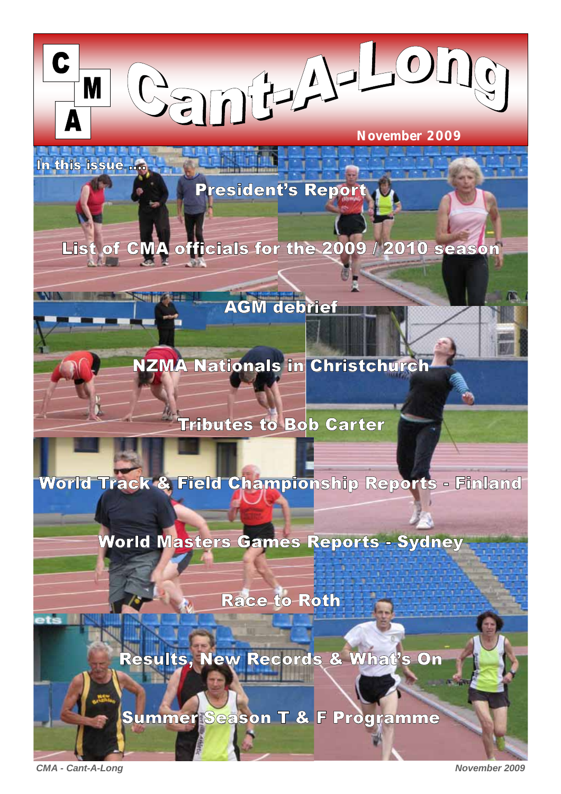

President's Report

List of CMA officials for the 2009 / 2010 season

# AGM debrief

NZMA Nationals in Christchurch

# Tributes to Bob Carter

World Track & Field Championship Reports - Finland

World Masters Games Reports - Sydney

Race to Roth

Results, New Records & What's On

Summer Season T & F Programme

*CMA - Cant-A-Long November 2009* 

In this issue ....

**M**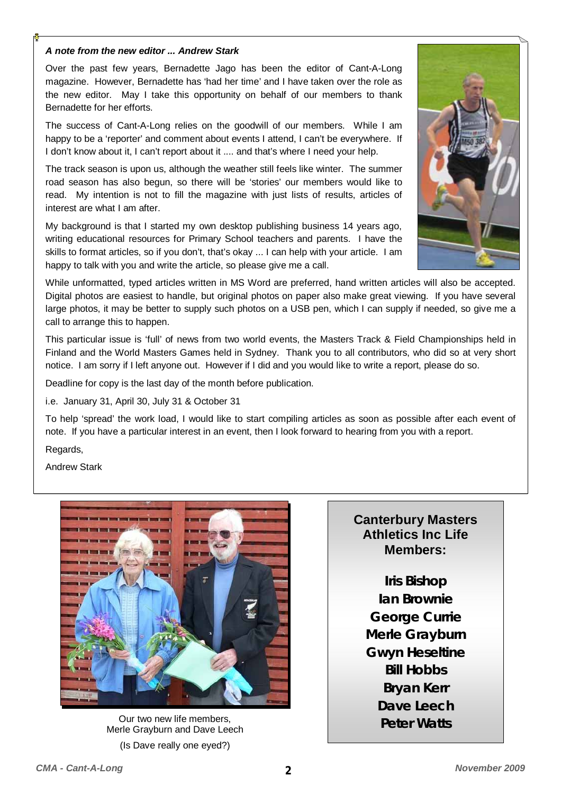#### *A note from the new editor ... Andrew Stark*

Over the past few years, Bernadette Jago has been the editor of Cant-A-Long magazine. However, Bernadette has 'had her time' and I have taken over the role as the new editor. May I take this opportunity on behalf of our members to thank Bernadette for her efforts.

The success of Cant-A-Long relies on the goodwill of our members. While I am happy to be a 'reporter' and comment about events I attend, I can't be everywhere. If I don't know about it, I can't report about it .... and that's where I need your help.

The track season is upon us, although the weather still feels like winter. The summer road season has also begun, so there will be 'stories' our members would like to read. My intention is not to fill the magazine with just lists of results, articles of interest are what I am after.

My background is that I started my own desktop publishing business 14 years ago, writing educational resources for Primary School teachers and parents. I have the skills to format articles, so if you don't, that's okay ... I can help with your article. I am happy to talk with you and write the article, so please give me a call.



While unformatted, typed articles written in MS Word are preferred, hand written articles will also be accepted. Digital photos are easiest to handle, but original photos on paper also make great viewing. If you have several large photos, it may be better to supply such photos on a USB pen, which I can supply if needed, so give me a call to arrange this to happen.

This particular issue is 'full' of news from two world events, the Masters Track & Field Championships held in Finland and the World Masters Games held in Sydney. Thank you to all contributors, who did so at very short notice. I am sorry if I left anyone out. However if I did and you would like to write a report, please do so.

Deadline for copy is the last day of the month before publication.

i.e. January 31, April 30, July 31 & October 31

To help 'spread' the work load, I would like to start compiling articles as soon as possible after each event of note. If you have a particular interest in an event, then I look forward to hearing from you with a report.

Regards,

Andrew Stark



**Peter Watts** Our two new life members, Merle Grayburn and Dave Leech (Is Dave really one eyed?)

## **Canterbury Masters Athletics Inc Life Members:**

**Iris Bishop Ian Brownie George Currie Merle Grayburn Gwyn Heseltine Bill Hobbs Bryan Kerr Dave Leech**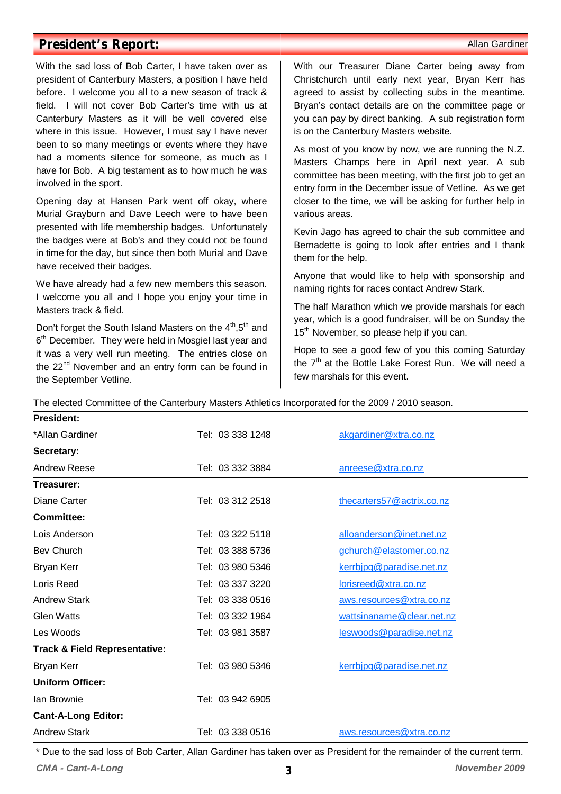## **President's Report:**  $\blacksquare$

With the sad loss of Bob Carter, I have taken over as president of Canterbury Masters, a position I have held before. I welcome you all to a new season of track & field. I will not cover Bob Carter's time with us at Canterbury Masters as it will be well covered else where in this issue. However, I must say I have never been to so many meetings or events where they have had a moments silence for someone, as much as I have for Bob. A big testament as to how much he was involved in the sport.

Opening day at Hansen Park went off okay, where Murial Grayburn and Dave Leech were to have been presented with life membership badges. Unfortunately the badges were at Bob's and they could not be found in time for the day, but since then both Murial and Dave have received their badges.

We have already had a few new members this season. I welcome you all and I hope you enjoy your time in Masters track & field.

Don't forget the South Island Masters on the 4<sup>th</sup>,5<sup>th</sup> and 6<sup>th</sup> December. They were held in Mosgiel last year and it was a very well run meeting. The entries close on the 22<sup>nd</sup> November and an entry form can be found in the September Vetline.

With our Treasurer Diane Carter being away from Christchurch until early next year, Bryan Kerr has agreed to assist by collecting subs in the meantime. Bryan's contact details are on the committee page or you can pay by direct banking. A sub registration form is on the Canterbury Masters website.

As most of you know by now, we are running the N.Z. Masters Champs here in April next year. A sub committee has been meeting, with the first job to get an entry form in the December issue of Vetline. As we get closer to the time, we will be asking for further help in various areas.

Kevin Jago has agreed to chair the sub committee and Bernadette is going to look after entries and I thank them for the help.

Anyone that would like to help with sponsorship and naming rights for races contact Andrew Stark.

The half Marathon which we provide marshals for each year, which is a good fundraiser, will be on Sunday the 15<sup>th</sup> November, so please help if you can.

Hope to see a good few of you this coming Saturday the  $7<sup>th</sup>$  at the Bottle Lake Forest Run. We will need a few marshals for this event.

The elected Committee of the Canterbury Masters Athletics Incorporated for the 2009 / 2010 season.

| <b>President:</b>                        |                  |                           |
|------------------------------------------|------------------|---------------------------|
| *Allan Gardiner                          | Tel: 03 338 1248 | akgardiner@xtra.co.nz     |
| Secretary:                               |                  |                           |
| Andrew Reese                             | Tel: 03 332 3884 | anreese@xtra.co.nz        |
| Treasurer:                               |                  |                           |
| Diane Carter                             | Tel: 03 312 2518 | thecarters57@actrix.co.nz |
| <b>Committee:</b>                        |                  |                           |
| Lois Anderson                            | Tel: 03 322 5118 | alloanderson@inet.net.nz  |
| <b>Bev Church</b>                        | Tel: 03 388 5736 | gchurch@elastomer.co.nz   |
| Bryan Kerr                               | Tel: 03 980 5346 | kerrbipg@paradise.net.nz  |
| Loris Reed                               | Tel: 03 337 3220 | lorisreed@xtra.co.nz      |
| <b>Andrew Stark</b>                      | Tel: 03 338 0516 | aws.resources@xtra.co.nz  |
| <b>Glen Watts</b>                        | Tel: 03 332 1964 | wattsinaname@clear.net.nz |
| Les Woods                                | Tel: 03 981 3587 | leswoods@paradise.net.nz  |
| <b>Track &amp; Field Representative:</b> |                  |                           |
| Bryan Kerr                               | Tel: 03 980 5346 | kerrbipg@paradise.net.nz  |
| <b>Uniform Officer:</b>                  |                  |                           |
| Ian Brownie                              | Tel: 03 942 6905 |                           |
| <b>Cant-A-Long Editor:</b>               |                  |                           |
| <b>Andrew Stark</b>                      | Tel: 03 338 0516 | aws.resources@xtra.co.nz  |

\* Due to the sad loss of Bob Carter, Allan Gardiner has taken over as President for the remainder of the current term.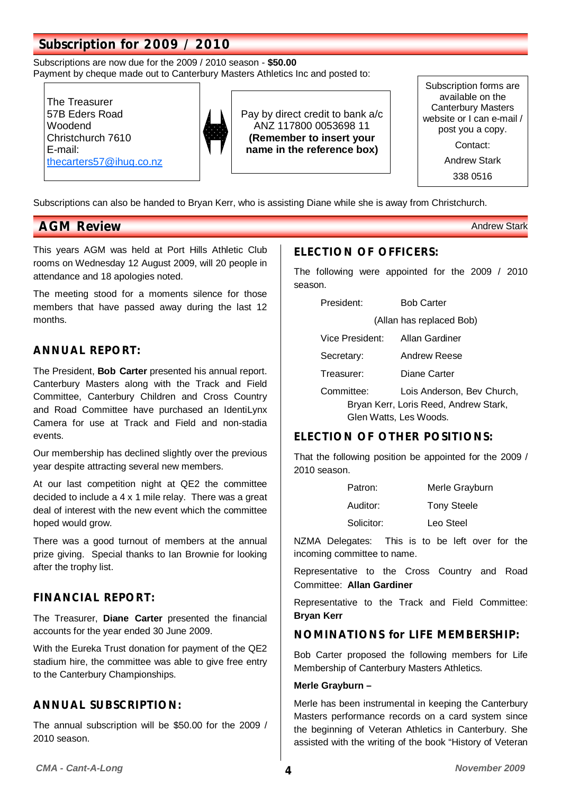# **Subscription for 2009 / 2010**

Subscriptions are now due for the 2009 / 2010 season - **\$50.00** Payment by cheque made out to Canterbury Masters Athletics Inc and posted to:

The Treasurer 57B Eders Road Woodend Christchurch 7610 E-mail: thecarters57@ihug.co.nz



Pay by direct credit to bank a/c ANZ 117800 0053698 11 **(Remember to insert your name in the reference box)**

Subscription forms are available on the Canterbury Masters website or I can e-mail / post you a copy. Contact:

Andrew Stark

338 0516

Subscriptions can also be handed to Bryan Kerr, who is assisting Diane while she is away from Christchurch.

## **AGM Review**  Andrew Stark **AGM Review Andrew Stark AGM Review**

This years AGM was held at Port Hills Athletic Club rooms on Wednesday 12 August 2009, will 20 people in attendance and 18 apologies noted.

The meeting stood for a moments silence for those members that have passed away during the last 12 months.

### **ANNUAL REPORT:**

The President, **Bob Carter** presented his annual report. Canterbury Masters along with the Track and Field Committee, Canterbury Children and Cross Country and Road Committee have purchased an IdentiLynx Camera for use at Track and Field and non-stadia events.

Our membership has declined slightly over the previous year despite attracting several new members.

At our last competition night at QE2 the committee decided to include a 4 x 1 mile relay. There was a great deal of interest with the new event which the committee hoped would grow.

There was a good turnout of members at the annual prize giving. Special thanks to Ian Brownie for looking after the trophy list.

## **FINANCIAL REPORT:**

The Treasurer, **Diane Carter** presented the financial accounts for the year ended 30 June 2009.

With the Eureka Trust donation for payment of the QE2 stadium hire, the committee was able to give free entry to the Canterbury Championships.

## **ANNUAL SUBSCRIPTION:**

The annual subscription will be \$50.00 for the 2009 / 2010 season.

## **ELECTION OF OFFICERS:**

The following were appointed for the 2009 / 2010 season.

| President:      | <b>Bob Carter</b>                     |
|-----------------|---------------------------------------|
|                 | (Allan has replaced Bob)              |
| Vice President: | Allan Gardiner                        |
| Secretary:      | Andrew Reese                          |
| Treasurer:      | Diane Carter                          |
| Committee:      | Lois Anderson, Bev Church,            |
|                 | Bryan Kerr, Loris Reed, Andrew Stark, |
|                 | Glen Watts, Les Woods.                |

## **ELECTION OF OTHER POSITIONS:**

That the following position be appointed for the 2009 / 2010 season.

| Patron:    | Merle Grayburn     |
|------------|--------------------|
| Auditor:   | <b>Tony Steele</b> |
| Solicitor: | Leo Steel          |

NZMA Delegates: This is to be left over for the incoming committee to name.

Representative to the Cross Country and Road Committee: **Allan Gardiner**

Representative to the Track and Field Committee: **Bryan Kerr**

### **NOMINATIONS for LIFE MEMBERSHIP:**

Bob Carter proposed the following members for Life Membership of Canterbury Masters Athletics.

#### **Merle Grayburn –**

Merle has been instrumental in keeping the Canterbury Masters performance records on a card system since the beginning of Veteran Athletics in Canterbury. She assisted with the writing of the book "History of Veteran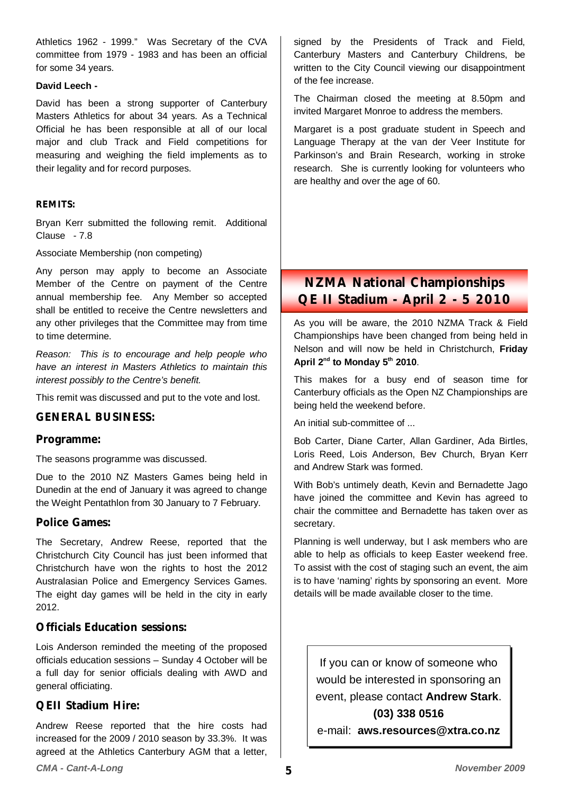Athletics 1962 - 1999." Was Secretary of the CVA committee from 1979 - 1983 and has been an official for some 34 years.

#### **David Leech -**

David has been a strong supporter of Canterbury Masters Athletics for about 34 years. As a Technical Official he has been responsible at all of our local major and club Track and Field competitions for measuring and weighing the field implements as to their legality and for record purposes.

#### **REMITS:**

Bryan Kerr submitted the following remit. Additional Clause - 7.8

Associate Membership (non competing)

Any person may apply to become an Associate Member of the Centre on payment of the Centre annual membership fee. Any Member so accepted shall be entitled to receive the Centre newsletters and any other privileges that the Committee may from time to time determine.

*Reason: This is to encourage and help people who have an interest in Masters Athletics to maintain this interest possibly to the Centre's benefit.* 

This remit was discussed and put to the vote and lost.

### **GENERAL BUSINESS:**

#### **Programme:**

The seasons programme was discussed.

Due to the 2010 NZ Masters Games being held in Dunedin at the end of January it was agreed to change the Weight Pentathlon from 30 January to 7 February.

### **Police Games:**

The Secretary, Andrew Reese, reported that the Christchurch City Council has just been informed that Christchurch have won the rights to host the 2012 Australasian Police and Emergency Services Games. The eight day games will be held in the city in early 2012.

### **Officials Education sessions:**

Lois Anderson reminded the meeting of the proposed officials education sessions – Sunday 4 October will be a full day for senior officials dealing with AWD and general officiating.

### **QEII Stadium Hire:**

Andrew Reese reported that the hire costs had increased for the 2009 / 2010 season by 33.3%. It was agreed at the Athletics Canterbury AGM that a letter, signed by the Presidents of Track and Field, Canterbury Masters and Canterbury Childrens, be written to the City Council viewing our disappointment of the fee increase.

The Chairman closed the meeting at 8.50pm and invited Margaret Monroe to address the members.

Margaret is a post graduate student in Speech and Language Therapy at the van der Veer Institute for Parkinson's and Brain Research, working in stroke research. She is currently looking for volunteers who are healthy and over the age of 60.

**NZMA National Championships QE II Stadium - April 2 - 5 2010** 

As you will be aware, the 2010 NZMA Track & Field Championships have been changed from being held in Nelson and will now be held in Christchurch, **Friday**  April 2<sup>nd</sup> to Monday 5<sup>th</sup> 2010.

This makes for a busy end of season time for Canterbury officials as the Open NZ Championships are being held the weekend before.

An initial sub-committee of ...

Bob Carter, Diane Carter, Allan Gardiner, Ada Birtles, Loris Reed, Lois Anderson, Bev Church, Bryan Kerr and Andrew Stark was formed.

With Bob's untimely death, Kevin and Bernadette Jago have joined the committee and Kevin has agreed to chair the committee and Bernadette has taken over as secretary.

Planning is well underway, but I ask members who are able to help as officials to keep Easter weekend free. To assist with the cost of staging such an event, the aim is to have 'naming' rights by sponsoring an event. More details will be made available closer to the time.

If you can or know of someone who would be interested in sponsoring an event, please contact **Andrew Stark**. **(03) 338 0516** 

e-mail: **aws.resources@xtra.co.nz**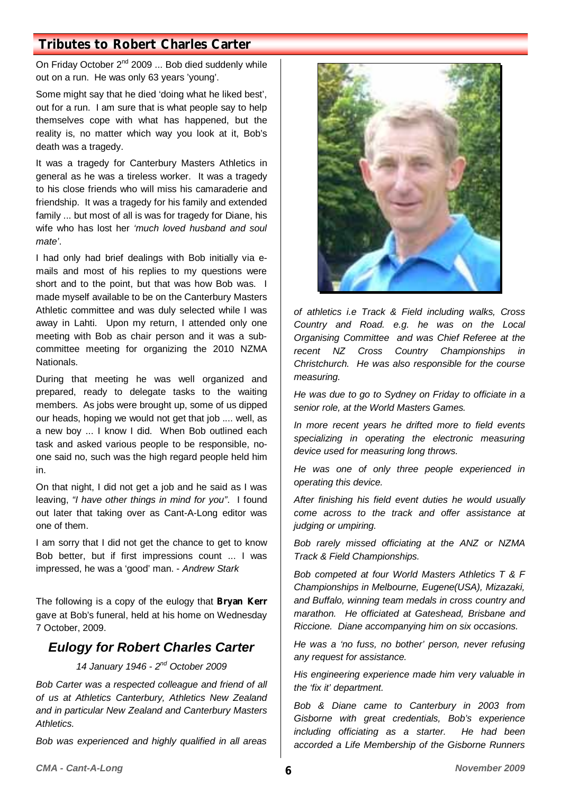## **Tributes to Robert Charles Carter**

On Friday October 2<sup>nd</sup> 2009 ... Bob died suddenly while out on a run. He was only 63 years 'young'.

Some might say that he died 'doing what he liked best', out for a run. I am sure that is what people say to help themselves cope with what has happened, but the reality is, no matter which way you look at it, Bob's death was a tragedy.

It was a tragedy for Canterbury Masters Athletics in general as he was a tireless worker. It was a tragedy to his close friends who will miss his camaraderie and friendship. It was a tragedy for his family and extended family ... but most of all is was for tragedy for Diane, his wife who has lost her *'much loved husband and soul mate'*.

I had only had brief dealings with Bob initially via emails and most of his replies to my questions were short and to the point, but that was how Bob was. I made myself available to be on the Canterbury Masters Athletic committee and was duly selected while I was away in Lahti. Upon my return, I attended only one meeting with Bob as chair person and it was a subcommittee meeting for organizing the 2010 NZMA Nationals.

During that meeting he was well organized and prepared, ready to delegate tasks to the waiting members. As jobs were brought up, some of us dipped our heads, hoping we would not get that job .... well, as a new boy ... I know I did. When Bob outlined each task and asked various people to be responsible, noone said no, such was the high regard people held him in.

On that night, I did not get a job and he said as I was leaving, *"I have other things in mind for you"*. I found out later that taking over as Cant-A-Long editor was one of them.

I am sorry that I did not get the chance to get to know Bob better, but if first impressions count ... I was impressed, he was a 'good' man. - *Andrew Stark* 

The following is a copy of the eulogy that **Bryan Kerr**  gave at Bob's funeral, held at his home on Wednesday 7 October, 2009.

## *Eulogy for Robert Charles Carter*

## *14 January 1946 - 2nd October 2009*

*Bob Carter was a respected colleague and friend of all of us at Athletics Canterbury, Athletics New Zealand and in particular New Zealand and Canterbury Masters Athletics.* 

*Bob was experienced and highly qualified in all areas* 



*of athletics i.e Track & Field including walks, Cross Country and Road. e.g. he was on the Local Organising Committee and was Chief Referee at the recent NZ Cross Country Championships in Christchurch. He was also responsible for the course measuring.* 

*He was due to go to Sydney on Friday to officiate in a senior role, at the World Masters Games.* 

*In more recent years he drifted more to field events specializing in operating the electronic measuring device used for measuring long throws.* 

*He was one of only three people experienced in operating this device.* 

*After finishing his field event duties he would usually come across to the track and offer assistance at judging or umpiring.* 

*Bob rarely missed officiating at the ANZ or NZMA Track & Field Championships.* 

*Bob competed at four World Masters Athletics T & F Championships in Melbourne, Eugene(USA), Mizazaki, and Buffalo, winning team medals in cross country and marathon. He officiated at Gateshead, Brisbane and Riccione. Diane accompanying him on six occasions.* 

*He was a 'no fuss, no bother' person, never refusing any request for assistance.* 

*His engineering experience made him very valuable in the 'fix it' department.* 

*Bob & Diane came to Canterbury in 2003 from Gisborne with great credentials, Bob's experience including officiating as a starter. He had been accorded a Life Membership of the Gisborne Runners*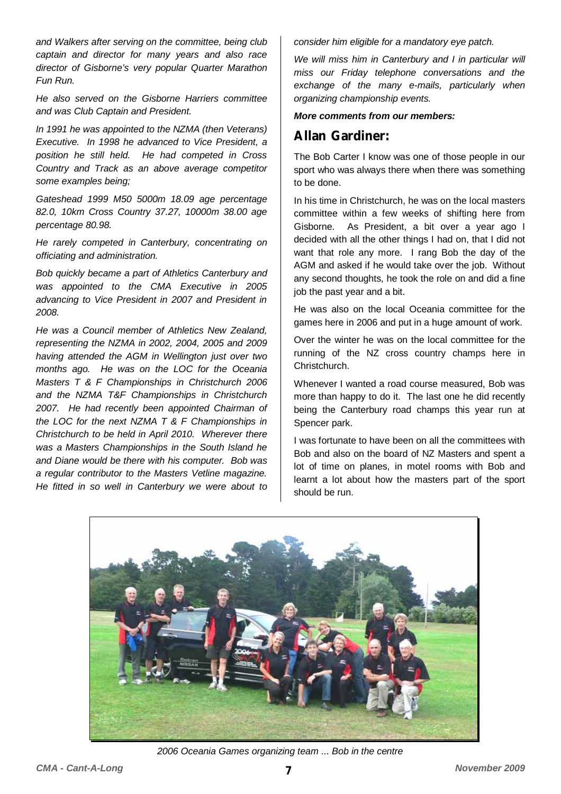*and Walkers after serving on the committee, being club captain and director for many years and also race director of Gisborne's very popular Quarter Marathon Fun Run.* 

*He also served on the Gisborne Harriers committee and was Club Captain and President.* 

*In 1991 he was appointed to the NZMA (then Veterans) Executive. In 1998 he advanced to Vice President, a position he still held. He had competed in Cross Country and Track as an above average competitor some examples being;* 

*Gateshead 1999 M50 5000m 18.09 age percentage 82.0, 10km Cross Country 37.27, 10000m 38.00 age percentage 80.98.* 

*He rarely competed in Canterbury, concentrating on officiating and administration.* 

*Bob quickly became a part of Athletics Canterbury and was appointed to the CMA Executive in 2005 advancing to Vice President in 2007 and President in 2008.* 

*He was a Council member of Athletics New Zealand, representing the NZMA in 2002, 2004, 2005 and 2009 having attended the AGM in Wellington just over two months ago. He was on the LOC for the Oceania Masters T & F Championships in Christchurch 2006 and the NZMA T&F Championships in Christchurch 2007. He had recently been appointed Chairman of the LOC for the next NZMA T & F Championships in Christchurch to be held in April 2010. Wherever there was a Masters Championships in the South Island he and Diane would be there with his computer. Bob was a regular contributor to the Masters Vetline magazine. He fitted in so well in Canterbury we were about to* 

*consider him eligible for a mandatory eye patch.* 

*We will miss him in Canterbury and I in particular will miss our Friday telephone conversations and the exchange of the many e-mails, particularly when organizing championship events.* 

#### *More comments from our members:*

## **Allan Gardiner:**

The Bob Carter I know was one of those people in our sport who was always there when there was something to be done.

In his time in Christchurch, he was on the local masters committee within a few weeks of shifting here from Gisborne. As President, a bit over a year ago I decided with all the other things I had on, that I did not want that role any more. I rang Bob the day of the AGM and asked if he would take over the job. Without any second thoughts, he took the role on and did a fine job the past year and a bit.

He was also on the local Oceania committee for the games here in 2006 and put in a huge amount of work.

Over the winter he was on the local committee for the running of the NZ cross country champs here in Christchurch.

Whenever I wanted a road course measured, Bob was more than happy to do it. The last one he did recently being the Canterbury road champs this year run at Spencer park.

I was fortunate to have been on all the committees with Bob and also on the board of NZ Masters and spent a lot of time on planes, in motel rooms with Bob and learnt a lot about how the masters part of the sport should be run.



*2006 Oceania Games organizing team ... Bob in the centre*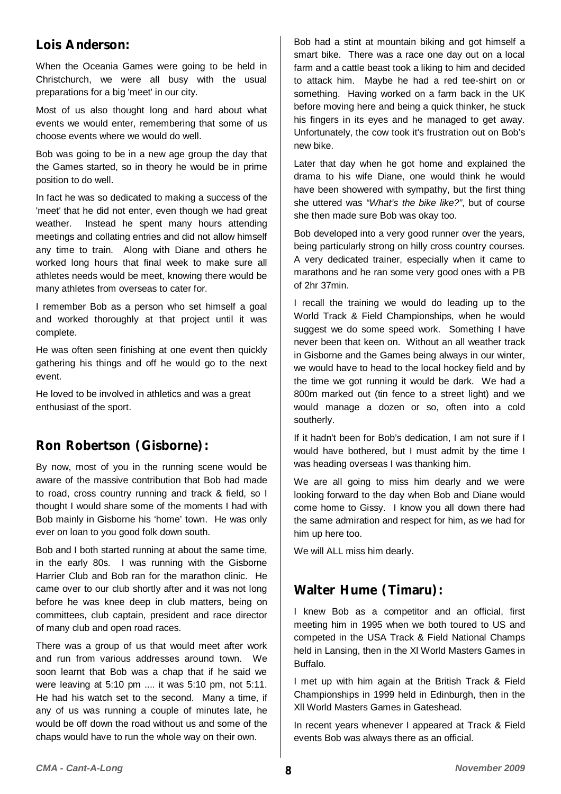## **Lois Anderson:**

When the Oceania Games were going to be held in Christchurch, we were all busy with the usual preparations for a big 'meet' in our city.

Most of us also thought long and hard about what events we would enter, remembering that some of us choose events where we would do well.

Bob was going to be in a new age group the day that the Games started, so in theory he would be in prime position to do well.

In fact he was so dedicated to making a success of the 'meet' that he did not enter, even though we had great weather. Instead he spent many hours attending meetings and collating entries and did not allow himself any time to train. Along with Diane and others he worked long hours that final week to make sure all athletes needs would be meet, knowing there would be many athletes from overseas to cater for.

I remember Bob as a person who set himself a goal and worked thoroughly at that project until it was complete.

He was often seen finishing at one event then quickly gathering his things and off he would go to the next event.

He loved to be involved in athletics and was a great enthusiast of the sport.

# **Ron Robertson (Gisborne):**

By now, most of you in the running scene would be aware of the massive contribution that Bob had made to road, cross country running and track & field, so I thought I would share some of the moments I had with Bob mainly in Gisborne his 'home' town. He was only ever on loan to you good folk down south.

Bob and I both started running at about the same time, in the early 80s. I was running with the Gisborne Harrier Club and Bob ran for the marathon clinic. He came over to our club shortly after and it was not long before he was knee deep in club matters, being on committees, club captain, president and race director of many club and open road races.

There was a group of us that would meet after work and run from various addresses around town. We soon learnt that Bob was a chap that if he said we were leaving at 5:10 pm .... it was 5:10 pm, not 5:11. He had his watch set to the second. Many a time, if any of us was running a couple of minutes late, he would be off down the road without us and some of the chaps would have to run the whole way on their own.

Bob had a stint at mountain biking and got himself a smart bike. There was a race one day out on a local farm and a cattle beast took a liking to him and decided to attack him. Maybe he had a red tee-shirt on or something. Having worked on a farm back in the UK before moving here and being a quick thinker, he stuck his fingers in its eyes and he managed to get away. Unfortunately, the cow took it's frustration out on Bob's new bike.

Later that day when he got home and explained the drama to his wife Diane, one would think he would have been showered with sympathy, but the first thing she uttered was *"What's the bike like?"*, but of course she then made sure Bob was okay too.

Bob developed into a very good runner over the years, being particularly strong on hilly cross country courses. A very dedicated trainer, especially when it came to marathons and he ran some very good ones with a PB of 2hr 37min.

I recall the training we would do leading up to the World Track & Field Championships, when he would suggest we do some speed work. Something I have never been that keen on. Without an all weather track in Gisborne and the Games being always in our winter, we would have to head to the local hockey field and by the time we got running it would be dark. We had a 800m marked out (tin fence to a street light) and we would manage a dozen or so, often into a cold southerly.

If it hadn't been for Bob's dedication, I am not sure if I would have bothered, but I must admit by the time I was heading overseas I was thanking him.

We are all going to miss him dearly and we were looking forward to the day when Bob and Diane would come home to Gissy. I know you all down there had the same admiration and respect for him, as we had for him up here too.

We will ALL miss him dearly.

## **Walter Hume (Timaru):**

I knew Bob as a competitor and an official, first meeting him in 1995 when we both toured to US and competed in the USA Track & Field National Champs held in Lansing, then in the Xl World Masters Games in Buffalo.

I met up with him again at the British Track & Field Championships in 1999 held in Edinburgh, then in the Xll World Masters Games in Gateshead.

In recent years whenever I appeared at Track & Field events Bob was always there as an official.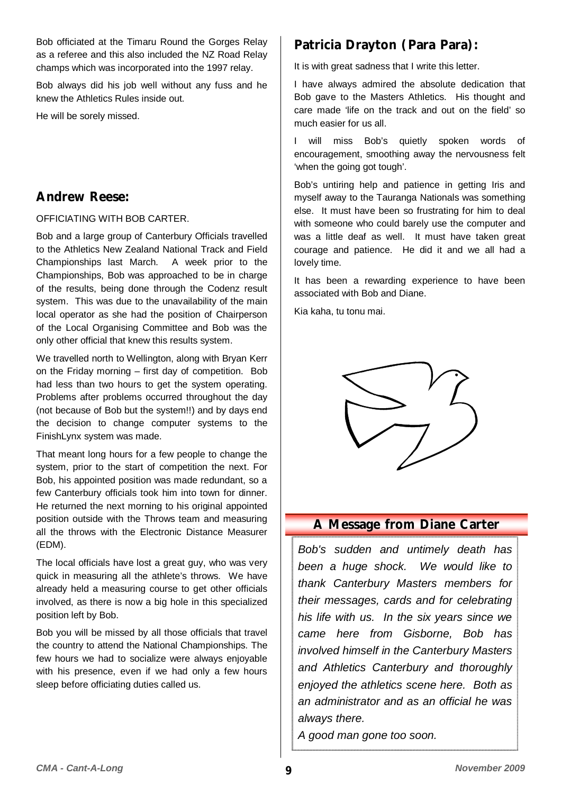Bob officiated at the Timaru Round the Gorges Relay as a referee and this also included the NZ Road Relay champs which was incorporated into the 1997 relay.

Bob always did his job well without any fuss and he knew the Athletics Rules inside out.

He will be sorely missed.

## **Andrew Reese:**

OFFICIATING WITH BOB CARTER.

Bob and a large group of Canterbury Officials travelled to the Athletics New Zealand National Track and Field Championships last March. A week prior to the Championships, Bob was approached to be in charge of the results, being done through the Codenz result system. This was due to the unavailability of the main local operator as she had the position of Chairperson of the Local Organising Committee and Bob was the only other official that knew this results system.

We travelled north to Wellington, along with Bryan Kerr on the Friday morning – first day of competition. Bob had less than two hours to get the system operating. Problems after problems occurred throughout the day (not because of Bob but the system!!) and by days end the decision to change computer systems to the FinishLynx system was made.

That meant long hours for a few people to change the system, prior to the start of competition the next. For Bob, his appointed position was made redundant, so a few Canterbury officials took him into town for dinner. He returned the next morning to his original appointed position outside with the Throws team and measuring all the throws with the Electronic Distance Measurer (EDM).

The local officials have lost a great guy, who was very quick in measuring all the athlete's throws. We have already held a measuring course to get other officials involved, as there is now a big hole in this specialized position left by Bob.

Bob you will be missed by all those officials that travel the country to attend the National Championships. The few hours we had to socialize were always enjoyable with his presence, even if we had only a few hours sleep before officiating duties called us.

# **Patricia Drayton (Para Para):**

It is with great sadness that I write this letter.

I have always admired the absolute dedication that Bob gave to the Masters Athletics. His thought and care made 'life on the track and out on the field' so much easier for us all.

I will miss Bob's quietly spoken words of encouragement, smoothing away the nervousness felt 'when the going got tough'.

Bob's untiring help and patience in getting Iris and myself away to the Tauranga Nationals was something else. It must have been so frustrating for him to deal with someone who could barely use the computer and was a little deaf as well. It must have taken great courage and patience. He did it and we all had a lovely time.

It has been a rewarding experience to have been associated with Bob and Diane.

Kia kaha, tu tonu mai.



## **A Message from Diane Carter**

*Bob's sudden and untimely death has been a huge shock. We would like to thank Canterbury Masters members for their messages, cards and for celebrating his life with us. In the six years since we came here from Gisborne, Bob has involved himself in the Canterbury Masters and Athletics Canterbury and thoroughly enjoyed the athletics scene here. Both as an administrator and as an official he was always there.* 

*A good man gone too soon.*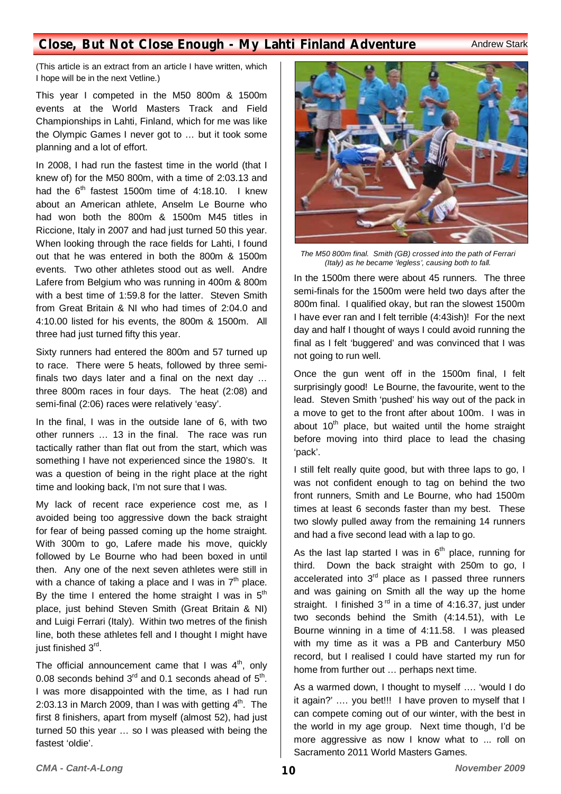## **Close, But Not Close Enough - My Lahti Finland Adventure Andrew Stark**

(This article is an extract from an article I have written, which I hope will be in the next Vetline.)

This year I competed in the M50 800m & 1500m events at the World Masters Track and Field Championships in Lahti, Finland, which for me was like the Olympic Games I never got to … but it took some planning and a lot of effort.

In 2008, I had run the fastest time in the world (that I knew of) for the M50 800m, with a time of 2:03.13 and had the  $6<sup>th</sup>$  fastest 1500m time of 4:18.10. I knew about an American athlete, Anselm Le Bourne who had won both the 800m & 1500m M45 titles in Riccione, Italy in 2007 and had just turned 50 this year. When looking through the race fields for Lahti, I found out that he was entered in both the 800m & 1500m events. Two other athletes stood out as well. Andre Lafere from Belgium who was running in 400m & 800m with a best time of 1:59.8 for the latter. Steven Smith from Great Britain & NI who had times of 2:04.0 and 4:10.00 listed for his events, the 800m & 1500m. All three had just turned fifty this year.

Sixty runners had entered the 800m and 57 turned up to race. There were 5 heats, followed by three semifinals two days later and a final on the next day … three 800m races in four days. The heat (2:08) and semi-final (2:06) races were relatively 'easy'.

In the final, I was in the outside lane of 6, with two other runners … 13 in the final. The race was run tactically rather than flat out from the start, which was something I have not experienced since the 1980's. It was a question of being in the right place at the right time and looking back, I'm not sure that I was.

My lack of recent race experience cost me, as I avoided being too aggressive down the back straight for fear of being passed coming up the home straight. With 300m to go, Lafere made his move, quickly followed by Le Bourne who had been boxed in until then. Any one of the next seven athletes were still in with a chance of taking a place and I was in  $7<sup>th</sup>$  place. By the time I entered the home straight I was in  $5<sup>th</sup>$ place, just behind Steven Smith (Great Britain & NI) and Luigi Ferrari (Italy). Within two metres of the finish line, both these athletes fell and I thought I might have just finished 3<sup>rd</sup>.

The official announcement came that I was  $4<sup>th</sup>$ , only 0.08 seconds behind  $3<sup>rd</sup>$  and 0.1 seconds ahead of  $5<sup>th</sup>$ . I was more disappointed with the time, as I had run 2:03.13 in March 2009, than I was with getting  $4<sup>th</sup>$ . The first 8 finishers, apart from myself (almost 52), had just turned 50 this year … so I was pleased with being the fastest 'oldie'.



*The M50 800m final. Smith (GB) crossed into the path of Ferrari (Italy) as he became 'legless', causing both to fall.* 

In the 1500m there were about 45 runners. The three semi-finals for the 1500m were held two days after the 800m final. I qualified okay, but ran the slowest 1500m I have ever ran and I felt terrible (4:43ish)! For the next day and half I thought of ways I could avoid running the final as I felt 'buggered' and was convinced that I was not going to run well.

Once the gun went off in the 1500m final, I felt surprisingly good! Le Bourne, the favourite, went to the lead. Steven Smith 'pushed' his way out of the pack in a move to get to the front after about 100m. I was in about  $10<sup>th</sup>$  place, but waited until the home straight before moving into third place to lead the chasing 'pack'.

I still felt really quite good, but with three laps to go, I was not confident enough to tag on behind the two front runners, Smith and Le Bourne, who had 1500m times at least 6 seconds faster than my best. These two slowly pulled away from the remaining 14 runners and had a five second lead with a lap to go.

As the last lap started I was in  $6<sup>th</sup>$  place, running for third. Down the back straight with 250m to go, I accelerated into  $3<sup>rd</sup>$  place as I passed three runners and was gaining on Smith all the way up the home straight. I finished  $3<sup>rd</sup>$  in a time of 4:16.37, just under two seconds behind the Smith (4:14.51), with Le Bourne winning in a time of 4:11.58. I was pleased with my time as it was a PB and Canterbury M50 record, but I realised I could have started my run for home from further out … perhaps next time.

As a warmed down, I thought to myself …. 'would I do it again?' .... you bet!!! I have proven to myself that I can compete coming out of our winter, with the best in the world in my age group. Next time though, I'd be more aggressive as now I know what to ... roll on Sacramento 2011 World Masters Games.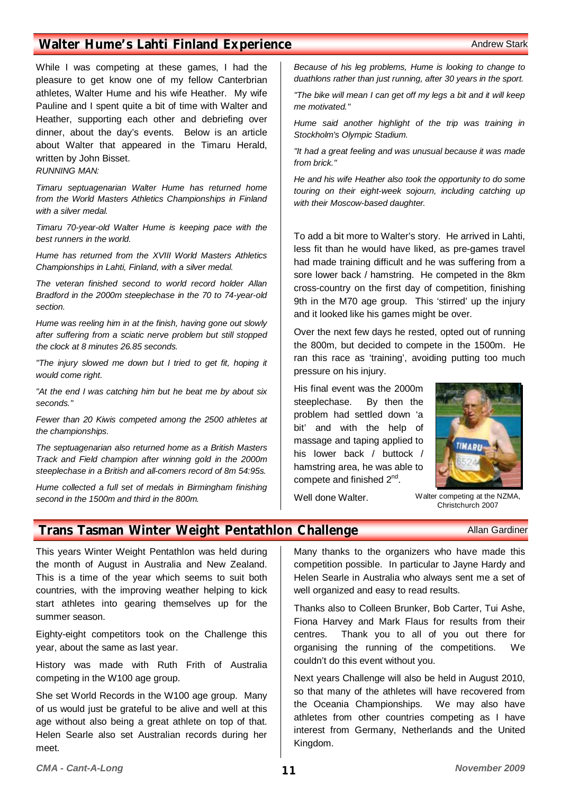## **Walter Hume's Lahti Finland Experience** Andrew Stark Andrew Stark

While I was competing at these games, I had the pleasure to get know one of my fellow Canterbrian athletes, Walter Hume and his wife Heather. My wife Pauline and I spent quite a bit of time with Walter and Heather, supporting each other and debriefing over dinner, about the day's events. Below is an article about Walter that appeared in the Timaru Herald, written by John Bisset.

#### *RUNNING MAN:*

*Timaru septuagenarian Walter Hume has returned home from the World Masters Athletics Championships in Finland with a silver medal.* 

*Timaru 70-year-old Walter Hume is keeping pace with the best runners in the world.* 

*Hume has returned from the XVIII World Masters Athletics Championships in Lahti, Finland, with a silver medal.* 

*The veteran finished second to world record holder Allan Bradford in the 2000m steeplechase in the 70 to 74-year-old section.* 

*Hume was reeling him in at the finish, having gone out slowly after suffering from a sciatic nerve problem but still stopped the clock at 8 minutes 26.85 seconds.* 

*"The injury slowed me down but I tried to get fit, hoping it would come right.* 

*"At the end I was catching him but he beat me by about six seconds."* 

*Fewer than 20 Kiwis competed among the 2500 athletes at the championships.* 

*The septuagenarian also returned home as a British Masters Track and Field champion after winning gold in the 2000m steeplechase in a British and all-comers record of 8m 54:95s.* 

*Hume collected a full set of medals in Birmingham finishing second in the 1500m and third in the 800m.* 

*Because of his leg problems, Hume is looking to change to duathlons rather than just running, after 30 years in the sport.* 

*"The bike will mean I can get off my legs a bit and it will keep me motivated."* 

*Hume said another highlight of the trip was training in Stockholm's Olympic Stadium.* 

*"It had a great feeling and was unusual because it was made from brick."* 

*He and his wife Heather also took the opportunity to do some touring on their eight-week sojourn, including catching up with their Moscow-based daughter.* 

To add a bit more to Walter's story. He arrived in Lahti, less fit than he would have liked, as pre-games travel had made training difficult and he was suffering from a sore lower back / hamstring. He competed in the 8km cross-country on the first day of competition, finishing 9th in the M70 age group. This 'stirred' up the injury and it looked like his games might be over.

Over the next few days he rested, opted out of running the 800m, but decided to compete in the 1500m. He ran this race as 'training', avoiding putting too much pressure on his injury.

His final event was the 2000m steeplechase. By then the problem had settled down 'a bit' and with the help of massage and taping applied to his lower back / buttock / hamstring area, he was able to compete and finished 2nd.



Well done Walter.

Christchurch 2007

#### **Trans Tasman Winter Weight Pentathlon Challenge Allan Gardiner** Allan Gardiner

This years Winter Weight Pentathlon was held during the month of August in Australia and New Zealand. This is a time of the year which seems to suit both countries, with the improving weather helping to kick start athletes into gearing themselves up for the summer season.

Eighty-eight competitors took on the Challenge this year, about the same as last year.

History was made with Ruth Frith of Australia competing in the W100 age group.

She set World Records in the W100 age group. Many of us would just be grateful to be alive and well at this age without also being a great athlete on top of that. Helen Searle also set Australian records during her meet.

Many thanks to the organizers who have made this competition possible. In particular to Jayne Hardy and Helen Searle in Australia who always sent me a set of well organized and easy to read results.

Thanks also to Colleen Brunker, Bob Carter, Tui Ashe, Fiona Harvey and Mark Flaus for results from their centres. Thank you to all of you out there for organising the running of the competitions. We couldn't do this event without you.

Next years Challenge will also be held in August 2010, so that many of the athletes will have recovered from the Oceania Championships. We may also have athletes from other countries competing as I have interest from Germany, Netherlands and the United Kingdom.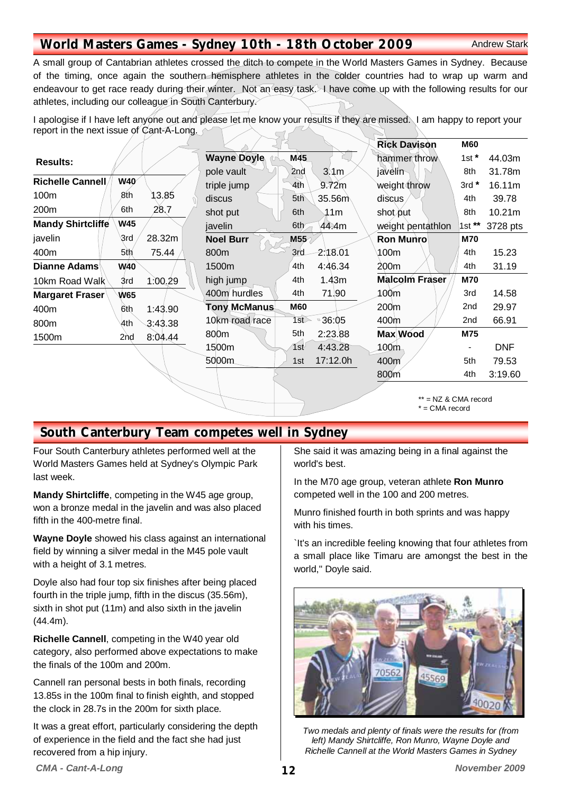## **World Masters Games - Sydney 10th - 18th October 2009** Andrew Stark

A small group of Cantabrian athletes crossed the ditch to compete in the World Masters Games in Sydney. Because of the timing, once again the southern hemisphere athletes in the colder countries had to wrap up warm and endeavour to get race ready during their winter. Not an easy task. I have come up with the following results for our athletes, including our colleague in South Canterbury.

I apologise if I have left anyone out and please let me know your results if they are missed. I am happy to report your report in the next issue of Cant-A-Long.

|                          |                 |         |                    |                  |                  | <b>Rick Davison</b>   | <b>M60</b> |            |
|--------------------------|-----------------|---------|--------------------|------------------|------------------|-----------------------|------------|------------|
| <b>Results:</b>          |                 |         | <b>Wayne Doyle</b> | M45              |                  | hammer throw          | 1st $*$    | 44.03m     |
|                          |                 |         | pole vault         | 2nd              | $3 \, \text{Mm}$ | javelin               | 8th        | 31.78m     |
| Richelle Cannell         | W40             |         | triple jump        | 4th              | 9.72m            | weight throw          | $3rd*$     | 16.11m     |
| 100m                     | 8th             | 13.85   | discus             | 5 <sup>th</sup>  | 35.56m           | discus                | 4th        | 39.78      |
| 200m                     | 6th             | 28,7    | shot put           | 6th              | <u>្ល</u> ា1m    | shot put              | 8th        | 10.21m     |
| <b>Mandy Shirtcliffe</b> | <b>W45</b>      |         | javelin            | 6th              | 44.4m            | weight pentathlon     | 1st **     | 3728 pts   |
| javelin                  | ্ডাd            | 28.32m  | <b>Noel Burr</b>   | M55 <sub>2</sub> |                  | <b>Ron Munro</b>      | <b>M70</b> |            |
| 400m                     | 5th             | 75.44   | 800m               | 3rd              | 2:18.01          | 100m                  | 4th        | 15.23      |
| <b>Dianne Adams</b>      | W <sub>40</sub> |         | 1500m              | 4th              | 4:46.34          | 200m                  | 4th        | 31.19      |
| 10km Road Walk           | 3rd             | 1:00.29 | high jump          | 4th              | 1.43m            | <b>Malcolm Fraser</b> | <b>M70</b> |            |
| Margaret Fraser          | W65             |         | 400m hurdles       | 4th              | 71.90            | 100m                  | 3rd        | 14.58      |
| 400m                     | 6th             | 1:43.90 | Tony McManus       | <b>M60</b>       |                  | 200m                  | 2nd        | 29.97      |
| 800m                     | 4th             | 3:43.38 | 10km road race     | 1st              | ■ 36:05          | 400m                  | 2nd        | 66.91      |
| 1500m                    | 2nd             | 8:04.44 | 800m               | 5th              | 2:23.88          | Max Wood              | M75        |            |
|                          |                 |         | 1500m              | 1st <sup>⊍</sup> | 4:43.28          | 100m                  |            | <b>DNF</b> |
|                          |                 |         | 5000m              | 1st              | 17:12.0h         | 400m                  | 5th        | 79.53      |
|                          |                 |         |                    |                  |                  | 800m                  | 4th        | 3:19.60    |
|                          |                 |         |                    |                  |                  |                       |            |            |

\*\* = NZ & CMA record \* = CMA record

# **South Canterbury Team competes well in Sydney**

Four South Canterbury athletes performed well at the World Masters Games held at Sydney's Olympic Park last week.

**Mandy Shirtcliffe**, competing in the W45 age group, won a bronze medal in the javelin and was also placed fifth in the 400-metre final.

**Wayne Doyle** showed his class against an international field by winning a silver medal in the M45 pole vault with a height of 3.1 metres.

Doyle also had four top six finishes after being placed fourth in the triple jump, fifth in the discus (35.56m), sixth in shot put (11m) and also sixth in the javelin (44.4m).

**Richelle Cannell**, competing in the W40 year old category, also performed above expectations to make the finals of the 100m and 200m.

Cannell ran personal bests in both finals, recording 13.85s in the 100m final to finish eighth, and stopped the clock in 28.7s in the 200m for sixth place.

It was a great effort, particularly considering the depth of experience in the field and the fact she had just recovered from a hip injury.

She said it was amazing being in a final against the world's best.

In the M70 age group, veteran athlete **Ron Munro**  competed well in the 100 and 200 metres.

Munro finished fourth in both sprints and was happy with his times.

`It's an incredible feeling knowing that four athletes from a small place like Timaru are amongst the best in the world," Doyle said.



*Two medals and plenty of finals were the results for (from left) Mandy Shirtcliffe, Ron Munro, Wayne Doyle and Richelle Cannell at the World Masters Games in Sydney*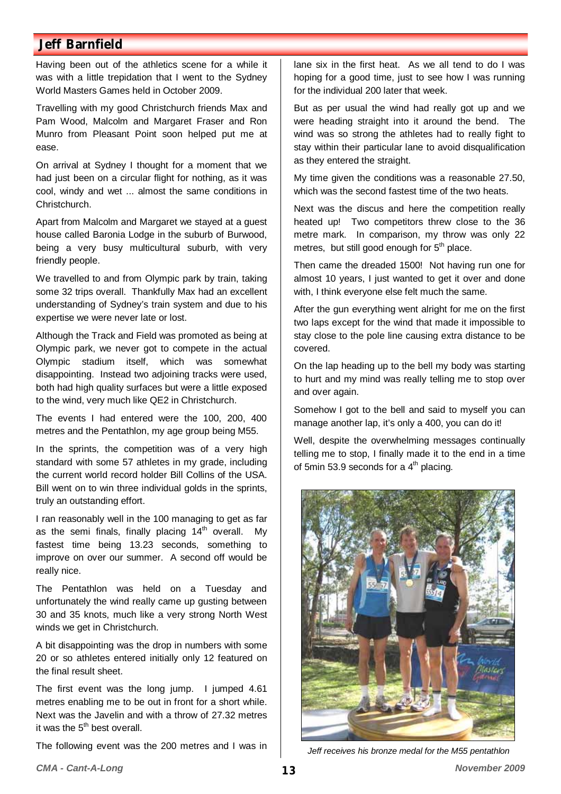## **Jeff Barnfield**

Having been out of the athletics scene for a while it was with a little trepidation that I went to the Sydney World Masters Games held in October 2009.

Travelling with my good Christchurch friends Max and Pam Wood, Malcolm and Margaret Fraser and Ron Munro from Pleasant Point soon helped put me at ease.

On arrival at Sydney I thought for a moment that we had just been on a circular flight for nothing, as it was cool, windy and wet ... almost the same conditions in Christchurch.

Apart from Malcolm and Margaret we stayed at a guest house called Baronia Lodge in the suburb of Burwood, being a very busy multicultural suburb, with very friendly people.

We travelled to and from Olympic park by train, taking some 32 trips overall. Thankfully Max had an excellent understanding of Sydney's train system and due to his expertise we were never late or lost.

Although the Track and Field was promoted as being at Olympic park, we never got to compete in the actual Olympic stadium itself, which was somewhat disappointing. Instead two adjoining tracks were used, both had high quality surfaces but were a little exposed to the wind, very much like QE2 in Christchurch.

The events I had entered were the 100, 200, 400 metres and the Pentathlon, my age group being M55.

In the sprints, the competition was of a very high standard with some 57 athletes in my grade, including the current world record holder Bill Collins of the USA. Bill went on to win three individual golds in the sprints, truly an outstanding effort.

I ran reasonably well in the 100 managing to get as far as the semi finals, finally placing  $14<sup>th</sup>$  overall. Mv fastest time being 13.23 seconds, something to improve on over our summer. A second off would be really nice.

The Pentathlon was held on a Tuesday and unfortunately the wind really came up gusting between 30 and 35 knots, much like a very strong North West winds we get in Christchurch.

A bit disappointing was the drop in numbers with some 20 or so athletes entered initially only 12 featured on the final result sheet.

The first event was the long jump. I jumped 4.61 metres enabling me to be out in front for a short while. Next was the Javelin and with a throw of 27.32 metres it was the  $5<sup>th</sup>$  best overall.

The following event was the 200 metres and I was in

lane six in the first heat. As we all tend to do I was hoping for a good time, just to see how I was running for the individual 200 later that week.

But as per usual the wind had really got up and we were heading straight into it around the bend. The wind was so strong the athletes had to really fight to stay within their particular lane to avoid disqualification as they entered the straight.

My time given the conditions was a reasonable 27.50, which was the second fastest time of the two heats.

Next was the discus and here the competition really heated up! Two competitors threw close to the 36 metre mark. In comparison, my throw was only 22 metres, but still good enough for  $5<sup>th</sup>$  place.

Then came the dreaded 1500! Not having run one for almost 10 years, I just wanted to get it over and done with, I think everyone else felt much the same.

After the gun everything went alright for me on the first two laps except for the wind that made it impossible to stay close to the pole line causing extra distance to be covered.

On the lap heading up to the bell my body was starting to hurt and my mind was really telling me to stop over and over again.

Somehow I got to the bell and said to myself you can manage another lap, it's only a 400, you can do it!

Well, despite the overwhelming messages continually telling me to stop, I finally made it to the end in a time of 5min 53.9 seconds for a  $4<sup>th</sup>$  placing.



*Jeff receives his bronze medal for the M55 pentathlon*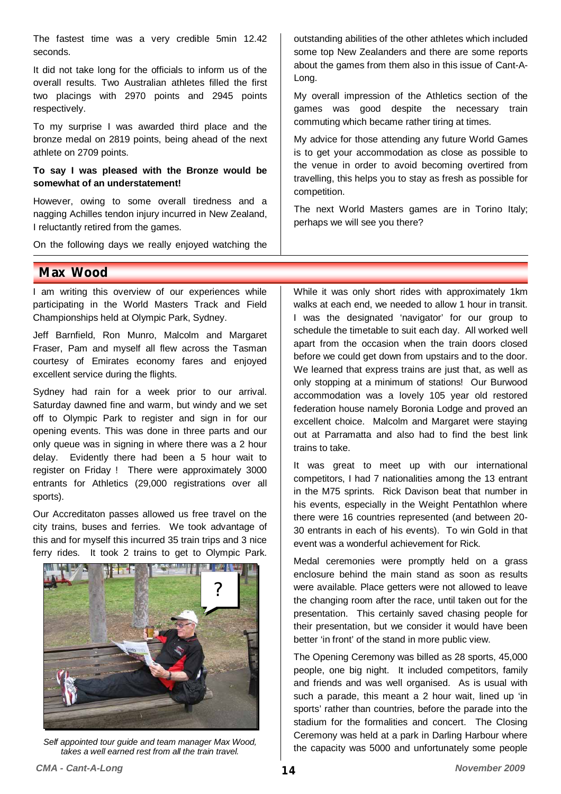The fastest time was a very credible 5min 12.42 seconds.

It did not take long for the officials to inform us of the overall results. Two Australian athletes filled the first two placings with 2970 points and 2945 points respectively.

To my surprise I was awarded third place and the bronze medal on 2819 points, being ahead of the next athlete on 2709 points.

#### **To say I was pleased with the Bronze would be somewhat of an understatement!**

However, owing to some overall tiredness and a nagging Achilles tendon injury incurred in New Zealand, I reluctantly retired from the games.

On the following days we really enjoyed watching the

**Max Wood** 

I am writing this overview of our experiences while participating in the World Masters Track and Field Championships held at Olympic Park, Sydney.

Jeff Barnfield, Ron Munro, Malcolm and Margaret Fraser, Pam and myself all flew across the Tasman courtesy of Emirates economy fares and enjoyed excellent service during the flights.

Sydney had rain for a week prior to our arrival. Saturday dawned fine and warm, but windy and we set off to Olympic Park to register and sign in for our opening events. This was done in three parts and our only queue was in signing in where there was a 2 hour delay. Evidently there had been a 5 hour wait to register on Friday ! There were approximately 3000 entrants for Athletics (29,000 registrations over all sports).

Our Accreditaton passes allowed us free travel on the city trains, buses and ferries. We took advantage of this and for myself this incurred 35 train trips and 3 nice ferry rides. It took 2 trains to get to Olympic Park.

**THE SEARCH** 

outstanding abilities of the other athletes which included some top New Zealanders and there are some reports about the games from them also in this issue of Cant-A-Long.

My overall impression of the Athletics section of the games was good despite the necessary train commuting which became rather tiring at times.

My advice for those attending any future World Games is to get your accommodation as close as possible to the venue in order to avoid becoming overtired from travelling, this helps you to stay as fresh as possible for competition.

The next World Masters games are in Torino Italy; perhaps we will see you there?

While it was only short rides with approximately 1km walks at each end, we needed to allow 1 hour in transit. I was the designated 'navigator' for our group to schedule the timetable to suit each day. All worked well apart from the occasion when the train doors closed before we could get down from upstairs and to the door. We learned that express trains are just that, as well as only stopping at a minimum of stations! Our Burwood accommodation was a lovely 105 year old restored federation house namely Boronia Lodge and proved an excellent choice. Malcolm and Margaret were staying out at Parramatta and also had to find the best link trains to take.

It was great to meet up with our international competitors, I had 7 nationalities among the 13 entrant in the M75 sprints. Rick Davison beat that number in his events, especially in the Weight Pentathlon where there were 16 countries represented (and between 20- 30 entrants in each of his events). To win Gold in that event was a wonderful achievement for Rick.

Medal ceremonies were promptly held on a grass enclosure behind the main stand as soon as results were available. Place getters were not allowed to leave the changing room after the race, until taken out for the presentation. This certainly saved chasing people for their presentation, but we consider it would have been better 'in front' of the stand in more public view.

The Opening Ceremony was billed as 28 sports, 45,000 people, one big night. It included competitors, family and friends and was well organised. As is usual with such a parade, this meant a 2 hour wait, lined up 'in sports' rather than countries, before the parade into the stadium for the formalities and concert. The Closing Ceremony was held at a park in Darling Harbour where the capacity was 5000 and unfortunately some people *Self appointed tour guide and team manager Max Wood,* 

*takes a well earned rest from all the train travel.* 



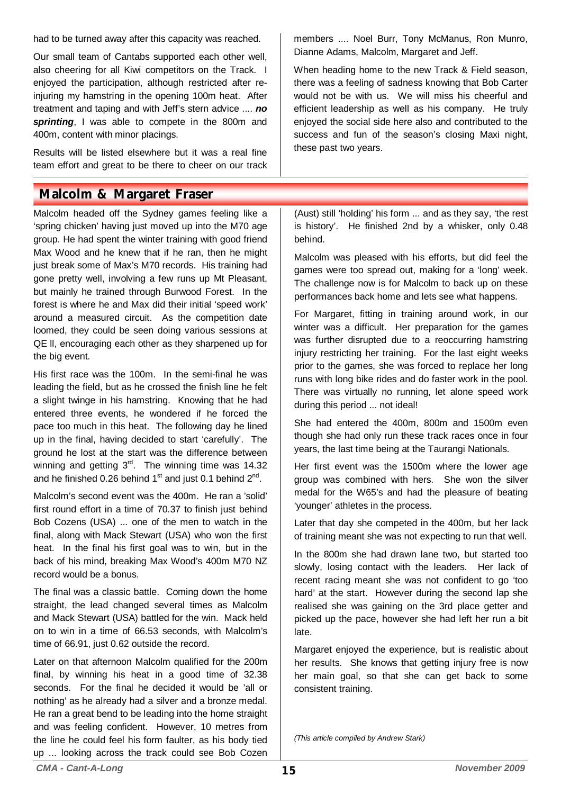had to be turned away after this capacity was reached.

Our small team of Cantabs supported each other well, also cheering for all Kiwi competitors on the Track. I enjoyed the participation, although restricted after reinjuring my hamstring in the opening 100m heat. After treatment and taping and with Jeff's stern advice .... *no sprinting*, I was able to compete in the 800m and 400m, content with minor placings.

Results will be listed elsewhere but it was a real fine team effort and great to be there to cheer on our track

## **Malcolm & Margaret Fraser**

Malcolm headed off the Sydney games feeling like a 'spring chicken' having just moved up into the M70 age group. He had spent the winter training with good friend Max Wood and he knew that if he ran, then he might just break some of Max's M70 records. His training had gone pretty well, involving a few runs up Mt Pleasant, but mainly he trained through Burwood Forest. In the forest is where he and Max did their initial 'speed work' around a measured circuit. As the competition date loomed, they could be seen doing various sessions at QE ll, encouraging each other as they sharpened up for the big event.

His first race was the 100m. In the semi-final he was leading the field, but as he crossed the finish line he felt a slight twinge in his hamstring. Knowing that he had entered three events, he wondered if he forced the pace too much in this heat. The following day he lined up in the final, having decided to start 'carefully'. The ground he lost at the start was the difference between winning and getting  $3<sup>rd</sup>$ . The winning time was 14.32 and he finished 0.26 behind  $1<sup>st</sup>$  and just 0.1 behind  $2<sup>nd</sup>$ .

Malcolm's second event was the 400m. He ran a 'solid' first round effort in a time of 70.37 to finish just behind Bob Cozens (USA) ... one of the men to watch in the final, along with Mack Stewart (USA) who won the first heat. In the final his first goal was to win, but in the back of his mind, breaking Max Wood's 400m M70 NZ record would be a bonus.

The final was a classic battle. Coming down the home straight, the lead changed several times as Malcolm and Mack Stewart (USA) battled for the win. Mack held on to win in a time of 66.53 seconds, with Malcolm's time of 66.91, just 0.62 outside the record.

Later on that afternoon Malcolm qualified for the 200m final, by winning his heat in a good time of 32.38 seconds. For the final he decided it would be 'all or nothing' as he already had a silver and a bronze medal. He ran a great bend to be leading into the home straight and was feeling confident. However, 10 metres from the line he could feel his form faulter, as his body tied up ... looking across the track could see Bob Cozen

members .... Noel Burr, Tony McManus, Ron Munro, Dianne Adams, Malcolm, Margaret and Jeff.

When heading home to the new Track & Field season, there was a feeling of sadness knowing that Bob Carter would not be with us. We will miss his cheerful and efficient leadership as well as his company. He truly enjoyed the social side here also and contributed to the success and fun of the season's closing Maxi night, these past two years.

(Aust) still 'holding' his form ... and as they say, 'the rest is history'. He finished 2nd by a whisker, only 0.48 behind.

Malcolm was pleased with his efforts, but did feel the games were too spread out, making for a 'long' week. The challenge now is for Malcolm to back up on these performances back home and lets see what happens.

For Margaret, fitting in training around work, in our winter was a difficult. Her preparation for the games was further disrupted due to a reoccurring hamstring injury restricting her training. For the last eight weeks prior to the games, she was forced to replace her long runs with long bike rides and do faster work in the pool. There was virtually no running, let alone speed work during this period ... not ideal!

She had entered the 400m, 800m and 1500m even though she had only run these track races once in four years, the last time being at the Taurangi Nationals.

Her first event was the 1500m where the lower age group was combined with hers. She won the silver medal for the W65's and had the pleasure of beating 'younger' athletes in the process.

Later that day she competed in the 400m, but her lack of training meant she was not expecting to run that well.

In the 800m she had drawn lane two, but started too slowly, losing contact with the leaders. Her lack of recent racing meant she was not confident to go 'too hard' at the start. However during the second lap she realised she was gaining on the 3rd place getter and picked up the pace, however she had left her run a bit late.

Margaret enjoyed the experience, but is realistic about her results. She knows that getting injury free is now her main goal, so that she can get back to some consistent training.

*(This article compiled by Andrew Stark)*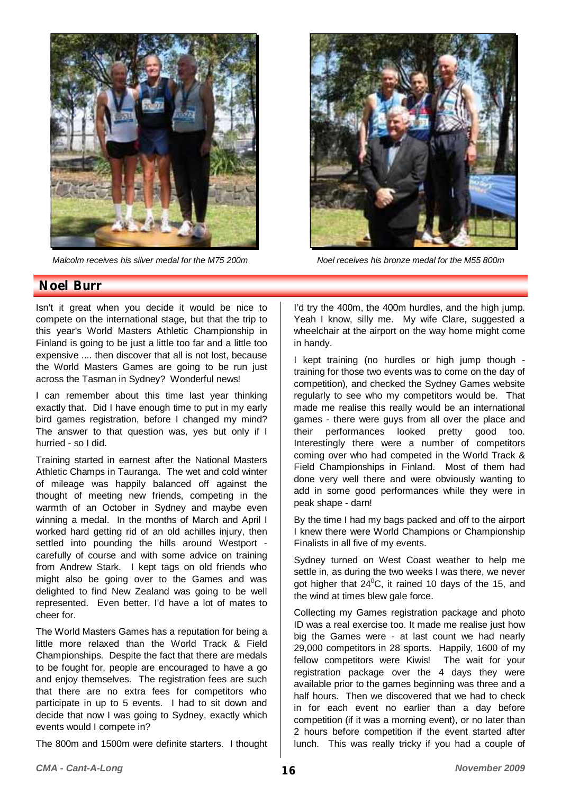

*Malcolm receives his silver medal for the M75 200m Noel receives his bronze medal for the M55 800m* 



### **Noel Burr**

Isn't it great when you decide it would be nice to compete on the international stage, but that the trip to this year's World Masters Athletic Championship in Finland is going to be just a little too far and a little too expensive .... then discover that all is not lost, because the World Masters Games are going to be run just across the Tasman in Sydney? Wonderful news!

I can remember about this time last year thinking exactly that. Did I have enough time to put in my early bird games registration, before I changed my mind? The answer to that question was, yes but only if I hurried - so I did.

Training started in earnest after the National Masters Athletic Champs in Tauranga. The wet and cold winter of mileage was happily balanced off against the thought of meeting new friends, competing in the warmth of an October in Sydney and maybe even winning a medal. In the months of March and April I worked hard getting rid of an old achilles injury, then settled into pounding the hills around Westport carefully of course and with some advice on training from Andrew Stark. I kept tags on old friends who might also be going over to the Games and was delighted to find New Zealand was going to be well represented. Even better, I'd have a lot of mates to cheer for.

The World Masters Games has a reputation for being a little more relaxed than the World Track & Field Championships. Despite the fact that there are medals to be fought for, people are encouraged to have a go and enjoy themselves. The registration fees are such that there are no extra fees for competitors who participate in up to 5 events. I had to sit down and decide that now I was going to Sydney, exactly which events would I compete in?

The 800m and 1500m were definite starters. I thought

I'd try the 400m, the 400m hurdles, and the high jump. Yeah I know, silly me. My wife Clare, suggested a wheelchair at the airport on the way home might come in handy.

I kept training (no hurdles or high jump though training for those two events was to come on the day of competition), and checked the Sydney Games website regularly to see who my competitors would be. That made me realise this really would be an international games - there were guys from all over the place and their performances looked pretty good too. Interestingly there were a number of competitors coming over who had competed in the World Track & Field Championships in Finland. Most of them had done very well there and were obviously wanting to add in some good performances while they were in peak shape - darn!

By the time I had my bags packed and off to the airport I knew there were World Champions or Championship Finalists in all five of my events.

Sydney turned on West Coast weather to help me settle in, as during the two weeks I was there, we never got higher that  $24^{\circ}$ C, it rained 10 days of the 15, and the wind at times blew gale force.

Collecting my Games registration package and photo ID was a real exercise too. It made me realise just how big the Games were - at last count we had nearly 29,000 competitors in 28 sports. Happily, 1600 of my fellow competitors were Kiwis! The wait for your registration package over the 4 days they were available prior to the games beginning was three and a half hours. Then we discovered that we had to check in for each event no earlier than a day before competition (if it was a morning event), or no later than 2 hours before competition if the event started after lunch. This was really tricky if you had a couple of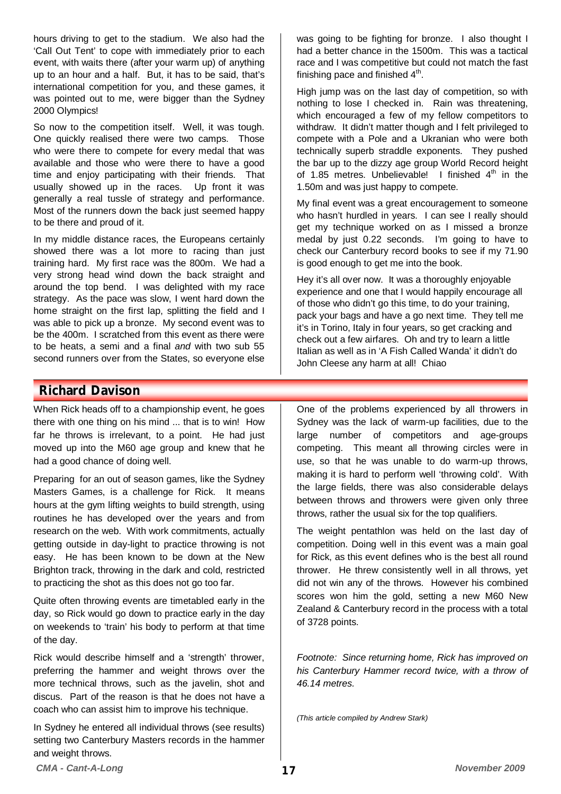hours driving to get to the stadium. We also had the 'Call Out Tent' to cope with immediately prior to each event, with waits there (after your warm up) of anything up to an hour and a half. But, it has to be said, that's international competition for you, and these games, it was pointed out to me, were bigger than the Sydney 2000 Olympics!

So now to the competition itself. Well, it was tough. One quickly realised there were two camps. Those who were there to compete for every medal that was available and those who were there to have a good time and enjoy participating with their friends. That usually showed up in the races. Up front it was generally a real tussle of strategy and performance. Most of the runners down the back just seemed happy to be there and proud of it.

In my middle distance races, the Europeans certainly showed there was a lot more to racing than just training hard. My first race was the 800m. We had a very strong head wind down the back straight and around the top bend. I was delighted with my race strategy. As the pace was slow, I went hard down the home straight on the first lap, splitting the field and I was able to pick up a bronze. My second event was to be the 400m. I scratched from this event as there were to be heats, a semi and a final *and* with two sub 55 second runners over from the States, so everyone else was going to be fighting for bronze. I also thought I had a better chance in the 1500m. This was a tactical race and I was competitive but could not match the fast finishing pace and finished  $4<sup>th</sup>$ .

High jump was on the last day of competition, so with nothing to lose I checked in. Rain was threatening, which encouraged a few of my fellow competitors to withdraw. It didn't matter though and I felt privileged to compete with a Pole and a Ukranian who were both technically superb straddle exponents. They pushed the bar up to the dizzy age group World Record height of 1.85 metres. Unbelievable! I finished  $4<sup>th</sup>$  in the 1.50m and was just happy to compete.

My final event was a great encouragement to someone who hasn't hurdled in years. I can see I really should get my technique worked on as I missed a bronze medal by just 0.22 seconds. I'm going to have to check our Canterbury record books to see if my 71.90 is good enough to get me into the book.

Hey it's all over now. It was a thoroughly enjoyable experience and one that I would happily encourage all of those who didn't go this time, to do your training, pack your bags and have a go next time. They tell me it's in Torino, Italy in four years, so get cracking and check out a few airfares. Oh and try to learn a little Italian as well as in 'A Fish Called Wanda' it didn't do John Cleese any harm at all! Chiao

## **Richard Davison**

When Rick heads off to a championship event, he goes there with one thing on his mind ... that is to win! How far he throws is irrelevant, to a point. He had just moved up into the M60 age group and knew that he had a good chance of doing well.

Preparing for an out of season games, like the Sydney Masters Games, is a challenge for Rick. It means hours at the gym lifting weights to build strength, using routines he has developed over the years and from research on the web. With work commitments, actually getting outside in day-light to practice throwing is not easy. He has been known to be down at the New Brighton track, throwing in the dark and cold, restricted to practicing the shot as this does not go too far.

Quite often throwing events are timetabled early in the day, so Rick would go down to practice early in the day on weekends to 'train' his body to perform at that time of the day.

Rick would describe himself and a 'strength' thrower, preferring the hammer and weight throws over the more technical throws, such as the javelin, shot and discus. Part of the reason is that he does not have a coach who can assist him to improve his technique.

In Sydney he entered all individual throws (see results) setting two Canterbury Masters records in the hammer and weight throws.

One of the problems experienced by all throwers in Sydney was the lack of warm-up facilities, due to the large number of competitors and age-groups competing. This meant all throwing circles were in use, so that he was unable to do warm-up throws, making it is hard to perform well 'throwing cold'. With the large fields, there was also considerable delays between throws and throwers were given only three throws, rather the usual six for the top qualifiers.

The weight pentathlon was held on the last day of competition. Doing well in this event was a main goal for Rick, as this event defines who is the best all round thrower. He threw consistently well in all throws, yet did not win any of the throws. However his combined scores won him the gold, setting a new M60 New Zealand & Canterbury record in the process with a total of 3728 points.

*Footnote: Since returning home, Rick has improved on his Canterbury Hammer record twice, with a throw of 46.14 metres.* 

*(This article compiled by Andrew Stark)*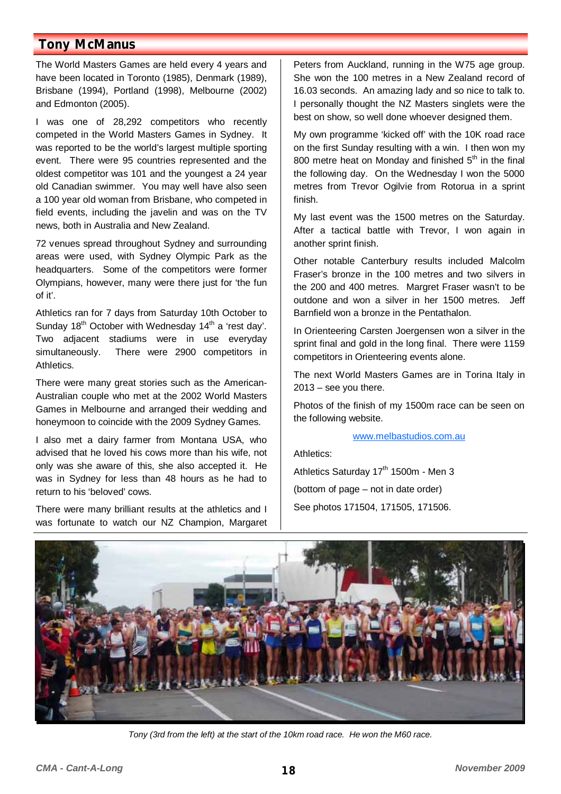## **Tony McManus**

The World Masters Games are held every 4 years and have been located in Toronto (1985), Denmark (1989), Brisbane (1994), Portland (1998), Melbourne (2002) and Edmonton (2005).

I was one of 28,292 competitors who recently competed in the World Masters Games in Sydney. It was reported to be the world's largest multiple sporting event. There were 95 countries represented and the oldest competitor was 101 and the youngest a 24 year old Canadian swimmer. You may well have also seen a 100 year old woman from Brisbane, who competed in field events, including the javelin and was on the TV news, both in Australia and New Zealand.

72 venues spread throughout Sydney and surrounding areas were used, with Sydney Olympic Park as the headquarters. Some of the competitors were former Olympians, however, many were there just for 'the fun of it'.

Athletics ran for 7 days from Saturday 10th October to Sunday 18<sup>th</sup> October with Wednesday 14<sup>th</sup> a 'rest day'. Two adjacent stadiums were in use everyday simultaneously. There were 2900 competitors in Athletics.

There were many great stories such as the American-Australian couple who met at the 2002 World Masters Games in Melbourne and arranged their wedding and honeymoon to coincide with the 2009 Sydney Games.

I also met a dairy farmer from Montana USA, who advised that he loved his cows more than his wife, not only was she aware of this, she also accepted it. He was in Sydney for less than 48 hours as he had to return to his 'beloved' cows.

There were many brilliant results at the athletics and I was fortunate to watch our NZ Champion, Margaret

Peters from Auckland, running in the W75 age group. She won the 100 metres in a New Zealand record of 16.03 seconds. An amazing lady and so nice to talk to. I personally thought the NZ Masters singlets were the best on show, so well done whoever designed them.

My own programme 'kicked off' with the 10K road race on the first Sunday resulting with a win. I then won my 800 metre heat on Monday and finished  $5<sup>th</sup>$  in the final the following day. On the Wednesday I won the 5000 metres from Trevor Ogilvie from Rotorua in a sprint finish.

My last event was the 1500 metres on the Saturday. After a tactical battle with Trevor, I won again in another sprint finish.

Other notable Canterbury results included Malcolm Fraser's bronze in the 100 metres and two silvers in the 200 and 400 metres. Margret Fraser wasn't to be outdone and won a silver in her 1500 metres. Jeff Barnfield won a bronze in the Pentathalon.

In Orienteering Carsten Joergensen won a silver in the sprint final and gold in the long final. There were 1159 competitors in Orienteering events alone.

The next World Masters Games are in Torina Italy in  $2013 -$  see you there.

Photos of the finish of my 1500m race can be seen on the following website.

#### www.melbastudios.com.au

Athletics:

Athletics Saturday 17<sup>th</sup> 1500m - Men 3 (bottom of page – not in date order) See photos 171504, 171505, 171506.



*Tony (3rd from the left) at the start of the 10km road race. He won the M60 race.*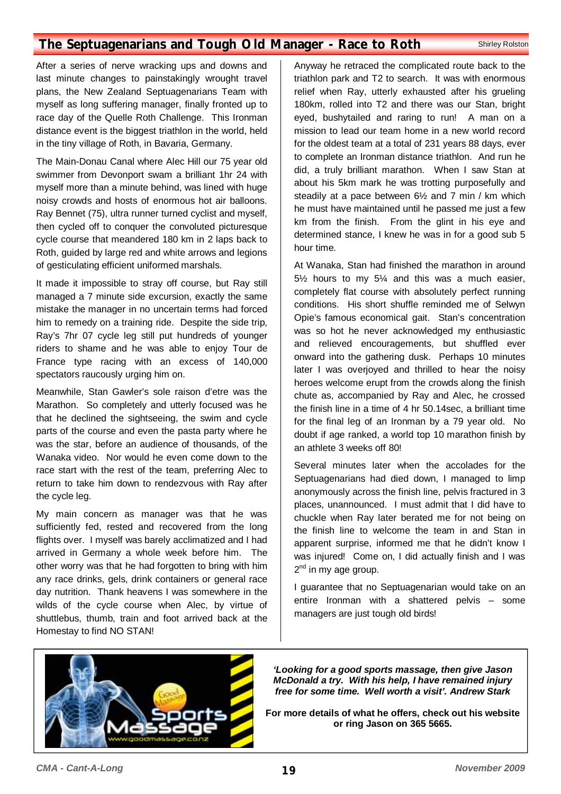## **The Septuagenarians and Tough Old Manager - Race to Roth Shirley Rolston**

After a series of nerve wracking ups and downs and last minute changes to painstakingly wrought travel plans, the New Zealand Septuagenarians Team with myself as long suffering manager, finally fronted up to race day of the Quelle Roth Challenge. This Ironman distance event is the biggest triathlon in the world, held in the tiny village of Roth, in Bavaria, Germany.

The Main-Donau Canal where Alec Hill our 75 year old swimmer from Devonport swam a brilliant 1hr 24 with myself more than a minute behind, was lined with huge noisy crowds and hosts of enormous hot air balloons. Ray Bennet (75), ultra runner turned cyclist and myself, then cycled off to conquer the convoluted picturesque cycle course that meandered 180 km in 2 laps back to Roth, guided by large red and white arrows and legions of gesticulating efficient uniformed marshals.

It made it impossible to stray off course, but Ray still managed a 7 minute side excursion, exactly the same mistake the manager in no uncertain terms had forced him to remedy on a training ride. Despite the side trip, Ray's 7hr 07 cycle leg still put hundreds of younger riders to shame and he was able to enjoy Tour de France type racing with an excess of 140,000 spectators raucously urging him on.

Meanwhile, Stan Gawler's sole raison d'etre was the Marathon. So completely and utterly focused was he that he declined the sightseeing, the swim and cycle parts of the course and even the pasta party where he was the star, before an audience of thousands, of the Wanaka video. Nor would he even come down to the race start with the rest of the team, preferring Alec to return to take him down to rendezvous with Ray after the cycle leg.

My main concern as manager was that he was sufficiently fed, rested and recovered from the long flights over. I myself was barely acclimatized and I had arrived in Germany a whole week before him. The other worry was that he had forgotten to bring with him any race drinks, gels, drink containers or general race day nutrition. Thank heavens I was somewhere in the wilds of the cycle course when Alec, by virtue of shuttlebus, thumb, train and foot arrived back at the Homestay to find NO STAN!

Anyway he retraced the complicated route back to the triathlon park and T2 to search. It was with enormous relief when Ray, utterly exhausted after his grueling 180km, rolled into T2 and there was our Stan, bright eyed, bushytailed and raring to run! A man on a mission to lead our team home in a new world record for the oldest team at a total of 231 years 88 days, ever to complete an Ironman distance triathlon. And run he did, a truly brilliant marathon. When I saw Stan at about his 5km mark he was trotting purposefully and steadily at a pace between 6½ and 7 min / km which he must have maintained until he passed me just a few km from the finish. From the glint in his eye and determined stance, I knew he was in for a good sub 5 hour time.

At Wanaka, Stan had finished the marathon in around 5½ hours to my 5¼ and this was a much easier, completely flat course with absolutely perfect running conditions. His short shuffle reminded me of Selwyn Opie's famous economical gait. Stan's concentration was so hot he never acknowledged my enthusiastic and relieved encouragements, but shuffled ever onward into the gathering dusk. Perhaps 10 minutes later I was overjoyed and thrilled to hear the noisy heroes welcome erupt from the crowds along the finish chute as, accompanied by Ray and Alec, he crossed the finish line in a time of 4 hr 50.14sec, a brilliant time for the final leg of an Ironman by a 79 year old. No doubt if age ranked, a world top 10 marathon finish by an athlete 3 weeks off 80!

Several minutes later when the accolades for the Septuagenarians had died down, I managed to limp anonymously across the finish line, pelvis fractured in 3 places, unannounced. I must admit that I did have to chuckle when Ray later berated me for not being on the finish line to welcome the team in and Stan in apparent surprise, informed me that he didn't know I was injured! Come on, I did actually finish and I was  $2<sup>nd</sup>$  in my age group.

I guarantee that no Septuagenarian would take on an entire Ironman with a shattered pelvis – some managers are just tough old birds!



*'Looking for a good sports massage, then give Jason McDonald a try. With his help, I have remained injury free for some time. Well worth a visit'. Andrew Stark* 

**For more details of what he offers, check out his website or ring Jason on 365 5665.**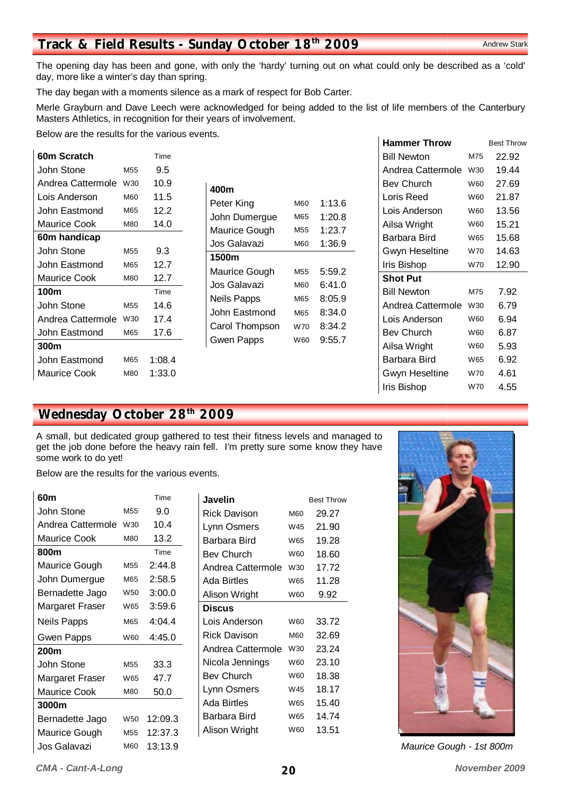#### *CMA - Cant-A-Long* **20** *November 2009*

# **Track & Field Results - Sunday October 18<sup>th</sup> 2009** Andrew Stark

The opening day has been and gone, with only the 'hardy' turning out on what could only be described as a 'cold' day, more like a winter's day than spring.

The day began with a moments silence as a mark of respect for Bob Carter.

Merle Grayburn and Dave Leech were acknowledged for being added to the list of life members of the Canterbury Masters Athletics, in recognition for their years of involvement.

Below are the results for the various events.

| 60m Scratch       |                 | Time   |
|-------------------|-----------------|--------|
| John Stone        | M55             | 9.5    |
| Andrea Cattermole | W30             | 10.9   |
| Lois Anderson     | M60             | 11.5   |
| John Eastmond     | M65             | 12.2   |
| Maurice Cook      | M80             | 14.0   |
| 60m handicap      |                 |        |
| John Stone        | M55             | 9.3    |
| John Eastmond     | M65             | 12.7   |
| Maurice Cook      | M80             | 12.7   |
| 100m              |                 | Time   |
| John Stone        | M <sub>55</sub> | 14.6   |
| Andrea Cattermole | W30             | 17.4   |
| John Eastmond     | M65             | 17.6   |
| 300m              |                 |        |
| John Eastmond     | M65             | 1:08.4 |
| Maurice Cook      | M80             | 1:33.0 |

| 400m           |                 |        |
|----------------|-----------------|--------|
| Peter King     | M60             | 1:13.6 |
| John Dumergue  | M65             | 1:20.8 |
| Maurice Gough  | M55             | 1:23.7 |
| Jos Galavazi   | M60             | 1:36.9 |
| 1500m          |                 |        |
| Maurice Gough  | M <sub>55</sub> | 5:59.2 |
| Jos Galavazi   | M60             | 6:41.0 |
| Neils Papps    | M65             | 8:05.9 |
| John Eastmond  | M65             | 8:34.0 |
| Carol Thompson | W70             | 8:34.2 |
| Gwen Papps     | W60             | 9:55.7 |
|                |                 |        |

| <b>Hammer Throw</b>   |            | <b>Best Throw</b> |
|-----------------------|------------|-------------------|
| <b>Bill Newton</b>    | M75        | 22.92             |
| Andrea Cattermole     | W30        | 19.44             |
| Bev Church            | <b>W60</b> | 27.69             |
| Loris Reed            | W60        | 21.87             |
| Lois Anderson         | <b>W60</b> | 13.56             |
| Ailsa Wright          | W60        | 15.21             |
| Barbara Bird          | W65        | 15.68             |
| <b>Gwyn Heseltine</b> | W70        | 14.63             |
| Iris Bishop           | W70        | 12.90             |
| <b>Shot Put</b>       |            |                   |
| <b>Bill Newton</b>    | M75        | 7.92              |
| Andrea Cattermole     | W30        | 6.79              |
| Lois Anderson         | W60        | 6.94              |
| Bev Church            | W60        | 6.87              |
| Ailsa Wright          | W60        | 5.93              |
| Barbara Bird          | W65        | 6.92              |
| <b>Gwyn Heseltine</b> | W70        | 4.61              |
| Iris Bishop           | W70        | 4.55              |

# **Wednesday October 28th 2009**

A small, but dedicated group gathered to test their fitness levels and managed to get the job done before the heavy rain fell. I'm pretty sure some know they have some work to do yet!

Below are the results for the various events.

| 60m                  |                 | Time    |
|----------------------|-----------------|---------|
| John Stone           | M55             | 9.0     |
| Andrea Cattermole    | W30             | 10.4    |
| Maurice Cook         | M80             | 13.2    |
| 800m                 |                 | Time    |
| <b>Maurice Gough</b> | M55             | 2:44.8  |
| John Dumergue        | M65             | 2:58.5  |
| Bernadette Jago      | W <sub>50</sub> | 3:00.0  |
| Margaret Fraser      | W65             | 3:59.6  |
| Neils Papps          | M65             | 4:04.4  |
| <b>Gwen Papps</b>    | W60             | 4:45.0  |
| 200m                 |                 |         |
| John Stone           | M55             | 33.3    |
| Margaret Fraser      | W65             | 47.7    |
| Maurice Cook         | M80             | 50.0    |
| 3000m                |                 |         |
| Bernadette Jago      | W <sub>50</sub> | 12:09.3 |
| Maurice Gough        | M55             | 12:37.3 |
| Jos Galavazi         | M60             | 13:13.9 |

| Javelin             |            | <b>Best Throw</b> |
|---------------------|------------|-------------------|
| Rick Davison        | <b>M60</b> | 29.27             |
| Lynn Osmers         | W45        | 21.90             |
| Barbara Bird        | W65        | 19.28             |
| <b>Bev Church</b>   | W60        | 18.60             |
| Andrea Cattermole   | W30        | 17.72             |
| Ada Birtles         | W65        | 11.28             |
| Alison Wright       | W60        | 9.92              |
| Discus              |            |                   |
| Lois Anderson       | W60        | 33.72             |
| <b>Rick Davison</b> | <b>M60</b> | 32.69             |
| Andrea Cattermole   | W30        | 23.24             |
| Nicola Jennings     | <b>W60</b> | 23.10             |
| Bev Church          | <b>W60</b> | 18.38             |
| Lynn Osmers         | W45        | 18.17             |
| Ada Birtles         | W65        | 15.40             |
| Barbara Bird        | W65        | 14.74             |
| Alison Wright       | <b>W60</b> | 13.51             |



*Maurice Gough - 1st 800m*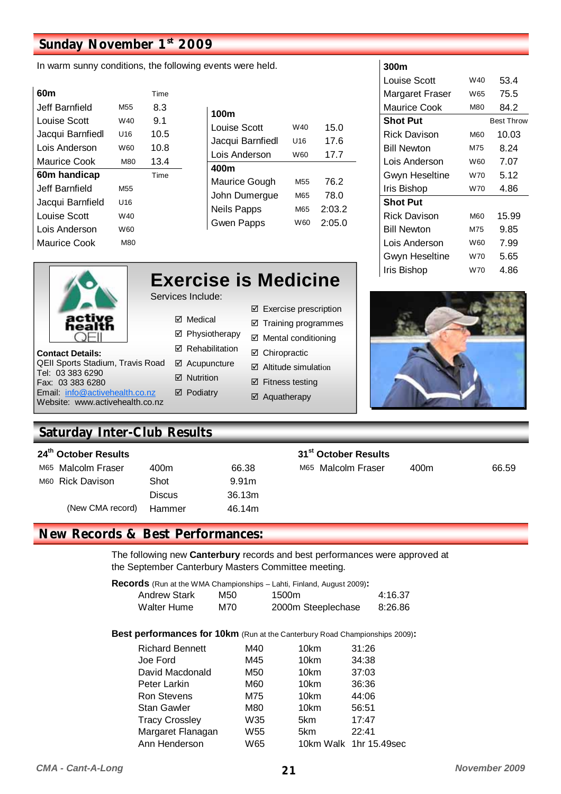# **Sunday November 1st 2009**

In warm sunny conditions, the following events were held.

| 60m              |                 | Time |
|------------------|-----------------|------|
| Jeff Barnfield   | M <sub>55</sub> | 83   |
| Louise Scott     | W40             | 9.1  |
| Jacqui Barnfiedl | U16             | 10.5 |
| Lois Anderson    | W60             | 10.8 |
| Maurice Cook     | M80             | 13.4 |
| 60m handicap     |                 | Time |
| Jeff Barnfield   | M <sub>55</sub> |      |
| Jacqui Barnfield | U16             |      |
| Louise Scott     | W40             |      |
| l ois Anderson   | W60             |      |
| Maurice Cook     | M80             |      |

| 100m               |                 |        |
|--------------------|-----------------|--------|
| Louise Scott       | W40             | 15.0   |
| Jacqui Barnfiedl   | U16             | 17.6   |
| Lois Anderson      | W60             | 17.7   |
| 400m               |                 |        |
| Maurice Gough      | M <sub>55</sub> | 76.2   |
| John Dumergue      | M65             | 78.0   |
| <b>Neils Papps</b> | M65             | 2:03.2 |
| <b>Gwen Papps</b>  | W60             | 2:05.0 |

#### **300m**

| JUUIII                |     |                   |
|-----------------------|-----|-------------------|
| Louise Scott          | W40 | 53.4              |
| Margaret Fraser       | W65 | 75.5              |
| Maurice Cook          | M80 | 84.2              |
| <b>Shot Put</b>       |     | <b>Best Throw</b> |
| Rick Davison          | M60 | 10.03             |
| <b>Bill Newton</b>    | M75 | 8.24              |
| Lois Anderson         | W60 | 7.07              |
| <b>Gwyn Heseltine</b> | W70 | 5.12              |
| Iris Bishop           | W70 | 4.86              |
| <b>Shot Put</b>       |     |                   |
| Rick Davison          | M60 | 15.99             |
| <b>Bill Newton</b>    | M75 | 9.85              |
| Lois Anderson         | W60 | 7.99              |
| <b>Gwyn Heseltine</b> | W70 | 5.65              |
| Iris Bishop           | W70 | 4.86              |

|                                                                    |                       | <b>Exercise is Medicine</b>     |
|--------------------------------------------------------------------|-----------------------|---------------------------------|
|                                                                    | Services Include:     |                                 |
|                                                                    | ⊠ Medical             | ☑ Exercise prescription         |
|                                                                    | ☑ Physiotherapy       | ☑ Training programmes           |
|                                                                    | ☑ Rehabilitation      | $\boxtimes$ Mental conditioning |
| <b>Contact Details:</b><br><b>QEII Sports Stadium, Travis Road</b> | ☑ Acupuncture         | ☑ Chiropractic                  |
| Tel: 03 383 6290                                                   | $\boxtimes$ Nutrition | $\boxtimes$ Altitude simulation |
| Fax: 03 383 6280<br>Email: info@activehealth.co.nz                 | ☑ Podiatry            | $\boxtimes$ Fitness testing     |
| Website: www.activehealth.co.nz                                    |                       | ☑ Aquatherapy                   |



# **Saturday Inter-Club Results**

| 24 <sup>th</sup> October Results |               |                   | 31 <sup>st</sup> October Results |      |       |
|----------------------------------|---------------|-------------------|----------------------------------|------|-------|
| M65 Malcolm Fraser               | 400m          | 66.38             | M65 Malcolm Fraser               | 400m | 66.59 |
| M60 Rick Davison                 | Shot          | 9.91 <sub>m</sub> |                                  |      |       |
|                                  | <b>Discus</b> | 36.13m            |                                  |      |       |
| (New CMA record)                 | Hammer        | 46.14m            |                                  |      |       |

# **New Records & Best Performances:**

The following new **Canterbury** records and best performances were approved at the September Canterbury Masters Committee meeting.

**Records** (Run at the WMA Championships – Lahti, Finland, August 2009)**:** 

| <b>Andrew Stark</b> | M50 | 1500m              | 4:16.37 |
|---------------------|-----|--------------------|---------|
| Walter Hume         | M70 | 2000m Steeplechase | 8:26.86 |

**Best performances for 10km** (Run at the Canterbury Road Championships 2009):

| <b>Richard Bennett</b> | M40 | 10km | 31:26                  |
|------------------------|-----|------|------------------------|
| Joe Ford               | M45 | 10km | 34:38                  |
| David Macdonald        | M50 | 10km | 37:03                  |
| Peter Larkin           | M60 | 10km | 36:36                  |
| <b>Ron Stevens</b>     | M75 | 10km | 44:06                  |
| <b>Stan Gawler</b>     | M80 | 10km | 56:51                  |
| <b>Tracy Crossley</b>  | W35 | 5km  | 17:47                  |
| Margaret Flanagan      | W55 | 5km  | 22:41                  |
| Ann Henderson          | W65 |      | 10km Walk 1hr 15.49sec |
|                        |     |      |                        |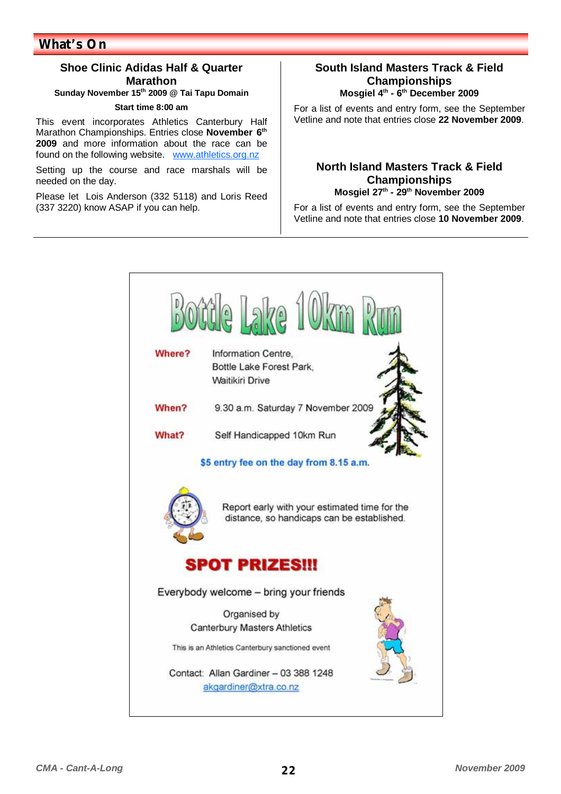## **Shoe Clinic Adidas Half & Quarter Marathon**

**Sunday November 15th 2009 @ Tai Tapu Domain** 

#### **Start time 8:00 am**

This event incorporates Athletics Canterbury Half Marathon Championships. Entries close **November 6th 2009** and more information about the race can be found on the following website. www.athletics.org.nz

Setting up the course and race marshals will be needed on the day.

Please let Lois Anderson (332 5118) and Loris Reed (337 3220) know ASAP if you can help.

#### **South Island Masters Track & Field Championships Mosgiel 4th - 6th December 2009**

For a list of events and entry form, see the September Vetline and note that entries close **22 November 2009**.

#### **North Island Masters Track & Field Championships Mosgiel 27th - 29th November 2009**

For a list of events and entry form, see the September Vetline and note that entries close **10 November 2009**.

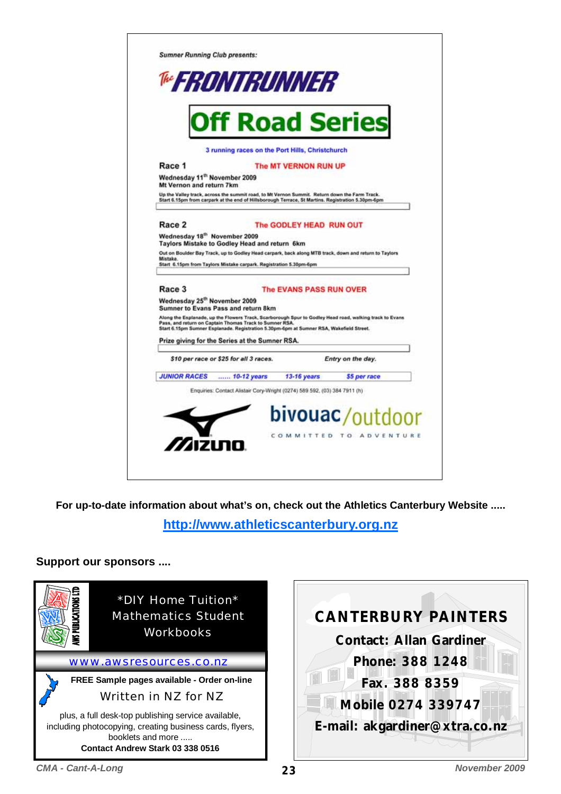

**For up-to-date information about what's on, check out the Athletics Canterbury Website .....** 

**http://www.athleticscanterbury.org.nz**

**Support our sponsors ....** 

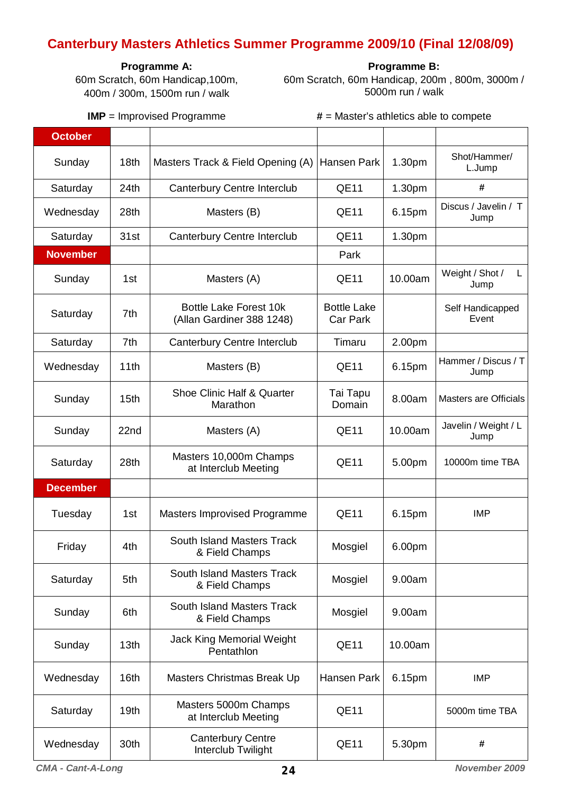# **Canterbury Masters Athletics Summer Programme 2009/10 (Final 12/08/09)**

### **Programme A:**

60m Scratch, 60m Handicap,100m, 400m / 300m, 1500m run / walk

**Programme B:** 

60m Scratch, 60m Handicap, 200m , 800m, 3000m / 5000m run / walk

**IMP** = Improvised Programme **#** = Master's athletics able to compete

| <b>October</b>  |                  |                                                            |                                       |         |                              |
|-----------------|------------------|------------------------------------------------------------|---------------------------------------|---------|------------------------------|
| Sunday          | 18 <sub>th</sub> | Masters Track & Field Opening (A)                          | Hansen Park                           | 1.30pm  | Shot/Hammer/<br>L.Jump       |
| Saturday        | 24th             | Canterbury Centre Interclub                                | QE11                                  | 1.30pm  | #                            |
| Wednesday       | 28th             | Masters (B)                                                | <b>QE11</b>                           | 6.15pm  | Discus / Javelin / T<br>Jump |
| Saturday        | 31st             | Canterbury Centre Interclub                                | <b>QE11</b>                           | 1.30pm  |                              |
| <b>November</b> |                  |                                                            | Park                                  |         |                              |
| Sunday          | 1st              | Masters (A)                                                | <b>QE11</b>                           | 10.00am | Weight / Shot /<br>L<br>Jump |
| Saturday        | 7th              | <b>Bottle Lake Forest 10k</b><br>(Allan Gardiner 388 1248) | <b>Bottle Lake</b><br><b>Car Park</b> |         | Self Handicapped<br>Event    |
| Saturday        | 7th              | Canterbury Centre Interclub                                | Timaru                                | 2.00pm  |                              |
| Wednesday       | 11th             | Masters (B)                                                | <b>QE11</b>                           | 6.15pm  | Hammer / Discus / T<br>Jump  |
| Sunday          | 15 <sub>th</sub> | Shoe Clinic Half & Quarter<br>Marathon                     | Tai Tapu<br>Domain                    | 8.00am  | Masters are Officials        |
| Sunday          | 22nd             | Masters (A)                                                | <b>QE11</b>                           | 10.00am | Javelin / Weight / L<br>Jump |
| Saturday        | 28 <sub>th</sub> | Masters 10,000m Champs<br>at Interclub Meeting             | <b>QE11</b>                           | 5.00pm  | 10000m time TBA              |
| <b>December</b> |                  |                                                            |                                       |         |                              |
| Tuesday         | 1st              | Masters Improvised Programme                               | <b>QE11</b>                           | 6.15pm  | <b>IMP</b>                   |
| Friday          | 4th              | <b>South Island Masters Track</b><br>& Field Champs        | Mosgiel                               | 6.00pm  |                              |
| Saturday        | 5th              | South Island Masters Track<br>& Field Champs               | Mosgiel                               | 9.00am  |                              |
| Sunday          | 6th              | South Island Masters Track<br>& Field Champs               | Mosgiel                               | 9.00am  |                              |
| Sunday          | 13 <sub>th</sub> | <b>Jack King Memorial Weight</b><br>Pentathlon             | <b>QE11</b>                           | 10.00am |                              |
| Wednesday       | 16th             | Masters Christmas Break Up                                 | Hansen Park                           | 6.15pm  | <b>IMP</b>                   |
| Saturday        | 19 <sub>th</sub> | Masters 5000m Champs<br>at Interclub Meeting               | <b>QE11</b>                           |         | 5000m time TBA               |
| Wednesday       | 30th             | <b>Canterbury Centre</b><br>Interclub Twilight             | <b>QE11</b>                           | 5.30pm  | #                            |